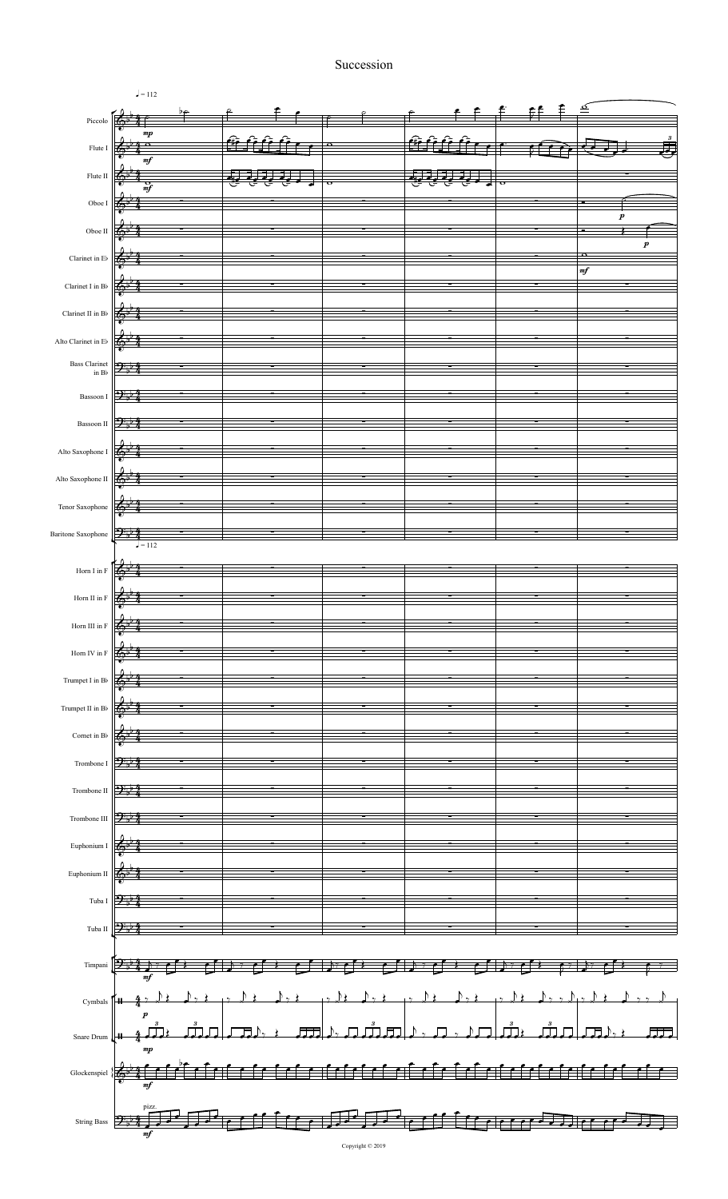## Succession

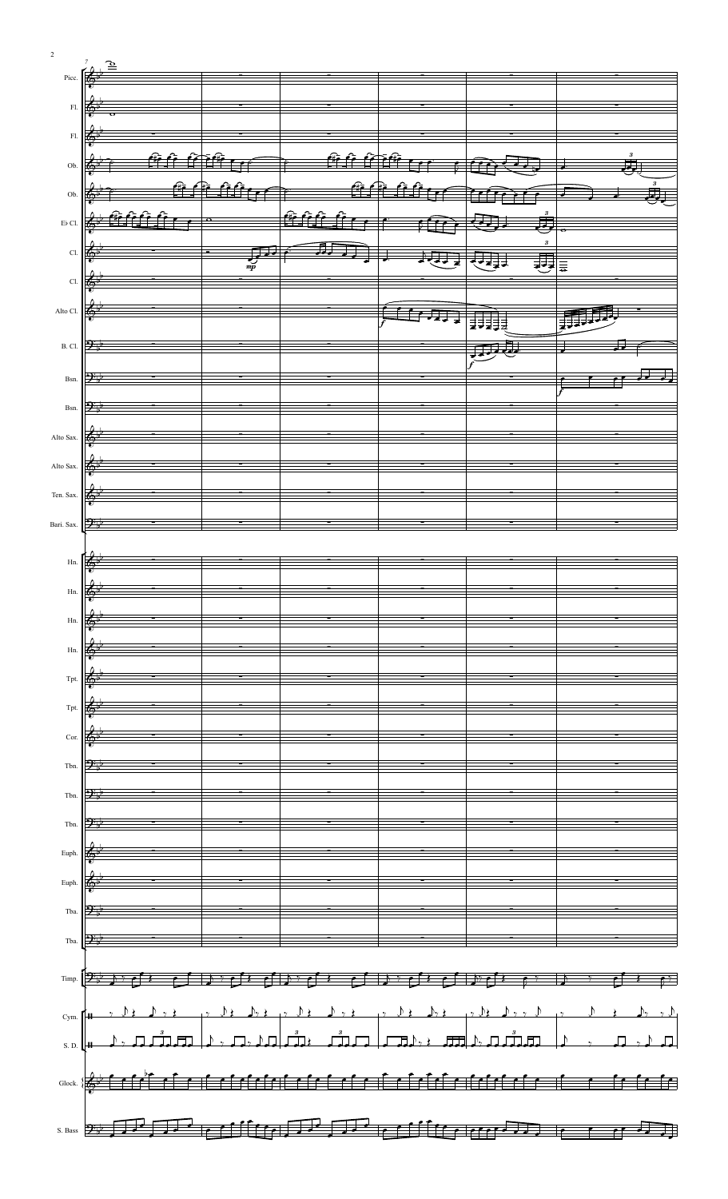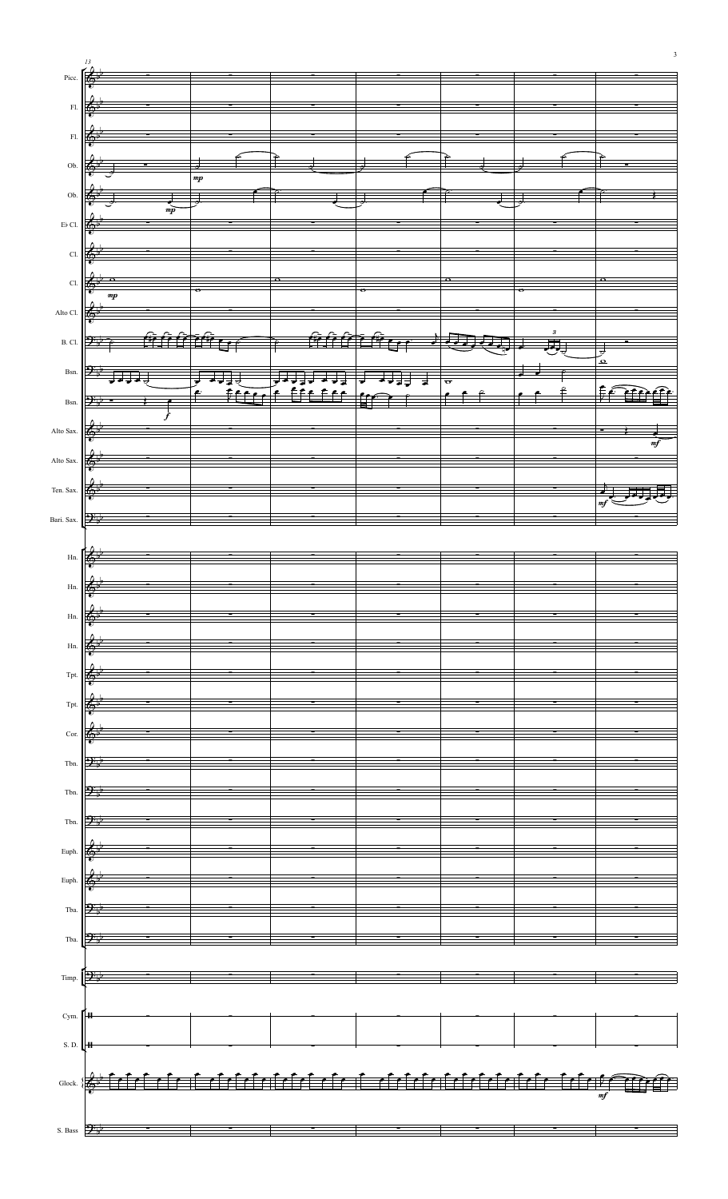| 13                                                            |                                                                                                                                                                                                                                                                                                                                                                                                                                                           |                 |                                                                                                                |              |   | 3                     |
|---------------------------------------------------------------|-----------------------------------------------------------------------------------------------------------------------------------------------------------------------------------------------------------------------------------------------------------------------------------------------------------------------------------------------------------------------------------------------------------------------------------------------------------|-----------------|----------------------------------------------------------------------------------------------------------------|--------------|---|-----------------------|
| Picc. $\mathbb{Z}$                                            |                                                                                                                                                                                                                                                                                                                                                                                                                                                           |                 |                                                                                                                |              |   |                       |
| FL                                                            |                                                                                                                                                                                                                                                                                                                                                                                                                                                           |                 |                                                                                                                |              |   |                       |
|                                                               |                                                                                                                                                                                                                                                                                                                                                                                                                                                           |                 |                                                                                                                |              |   |                       |
|                                                               |                                                                                                                                                                                                                                                                                                                                                                                                                                                           |                 |                                                                                                                |              |   |                       |
|                                                               |                                                                                                                                                                                                                                                                                                                                                                                                                                                           |                 |                                                                                                                |              |   |                       |
|                                                               |                                                                                                                                                                                                                                                                                                                                                                                                                                                           | $\binom{mp}{r}$ |                                                                                                                |              |   |                       |
| Ob.                                                           | $\begin{array}{c c}\n m_1 \\  \hline\n m_2\n\end{array}$                                                                                                                                                                                                                                                                                                                                                                                                  |                 |                                                                                                                |              |   |                       |
| $E \triangleright$ Cl. $\left  \bigoplus_{i=1}^{n}$           |                                                                                                                                                                                                                                                                                                                                                                                                                                                           |                 |                                                                                                                |              |   |                       |
|                                                               |                                                                                                                                                                                                                                                                                                                                                                                                                                                           |                 |                                                                                                                |              |   |                       |
| Cl. $\frac{1}{2}$                                             |                                                                                                                                                                                                                                                                                                                                                                                                                                                           |                 |                                                                                                                |              |   |                       |
|                                                               | Cl. $\frac{\sqrt{\frac{1}{2} \cdot \frac{1}{2} \cdot \frac{1}{2}}}{\sqrt{\frac{1}{2} \cdot \frac{1}{2} \cdot \frac{1}{2} \cdot \frac{1}{2} \cdot \frac{1}{2} \cdot \frac{1}{2} \cdot \frac{1}{2} \cdot \frac{1}{2} \cdot \frac{1}{2} \cdot \frac{1}{2} \cdot \frac{1}{2} \cdot \frac{1}{2} \cdot \frac{1}{2} \cdot \frac{1}{2} \cdot \frac{1}{2} \cdot \frac{1}{2} \cdot \frac{1}{2} \cdot \frac{1}{2} \cdot \frac{1}{2} \cdot \frac{1}{2} \cdot \frac{1$ |                 | $\circ$                                                                                                        |              |   |                       |
| $\it mp$                                                      |                                                                                                                                                                                                                                                                                                                                                                                                                                                           |                 |                                                                                                                |              |   |                       |
| Alto Cl. $\left  \bigoplus_{i=1}^n$                           |                                                                                                                                                                                                                                                                                                                                                                                                                                                           |                 |                                                                                                                |              |   |                       |
| B.Cl. $252$                                                   |                                                                                                                                                                                                                                                                                                                                                                                                                                                           |                 |                                                                                                                |              | 力 |                       |
|                                                               |                                                                                                                                                                                                                                                                                                                                                                                                                                                           |                 |                                                                                                                |              |   | $\boldsymbol{\alpha}$ |
|                                                               |                                                                                                                                                                                                                                                                                                                                                                                                                                                           |                 |                                                                                                                |              |   |                       |
|                                                               |                                                                                                                                                                                                                                                                                                                                                                                                                                                           |                 |                                                                                                                | $\triangleq$ |   |                       |
|                                                               |                                                                                                                                                                                                                                                                                                                                                                                                                                                           |                 |                                                                                                                |              |   |                       |
| Alto Sax. $\left \bigoplus_{k=1}^{\infty}$                    |                                                                                                                                                                                                                                                                                                                                                                                                                                                           |                 |                                                                                                                |              |   | $\frac{1}{m}$         |
| Alto Sax.                                                     |                                                                                                                                                                                                                                                                                                                                                                                                                                                           |                 |                                                                                                                |              |   |                       |
|                                                               |                                                                                                                                                                                                                                                                                                                                                                                                                                                           |                 |                                                                                                                |              |   |                       |
| Ten. Sax. $\left \overrightarrow{G}\right $                   |                                                                                                                                                                                                                                                                                                                                                                                                                                                           |                 |                                                                                                                |              |   |                       |
| Bari. Sax. $\mathcal{D}$                                      |                                                                                                                                                                                                                                                                                                                                                                                                                                                           |                 |                                                                                                                |              |   |                       |
|                                                               |                                                                                                                                                                                                                                                                                                                                                                                                                                                           |                 |                                                                                                                |              |   |                       |
| $\mathbb{R}^3$                                                |                                                                                                                                                                                                                                                                                                                                                                                                                                                           |                 |                                                                                                                |              |   |                       |
|                                                               |                                                                                                                                                                                                                                                                                                                                                                                                                                                           |                 |                                                                                                                |              |   |                       |
| ₩                                                             |                                                                                                                                                                                                                                                                                                                                                                                                                                                           |                 |                                                                                                                |              |   |                       |
|                                                               |                                                                                                                                                                                                                                                                                                                                                                                                                                                           |                 |                                                                                                                |              |   |                       |
|                                                               |                                                                                                                                                                                                                                                                                                                                                                                                                                                           |                 |                                                                                                                |              |   |                       |
|                                                               |                                                                                                                                                                                                                                                                                                                                                                                                                                                           |                 |                                                                                                                |              |   |                       |
|                                                               |                                                                                                                                                                                                                                                                                                                                                                                                                                                           |                 |                                                                                                                |              |   |                       |
|                                                               |                                                                                                                                                                                                                                                                                                                                                                                                                                                           |                 |                                                                                                                |              |   |                       |
|                                                               |                                                                                                                                                                                                                                                                                                                                                                                                                                                           |                 |                                                                                                                |              |   |                       |
| Cor.                                                          |                                                                                                                                                                                                                                                                                                                                                                                                                                                           |                 |                                                                                                                |              |   |                       |
| ンド                                                            |                                                                                                                                                                                                                                                                                                                                                                                                                                                           |                 |                                                                                                                |              |   |                       |
|                                                               |                                                                                                                                                                                                                                                                                                                                                                                                                                                           |                 |                                                                                                                |              |   |                       |
| $\mathcal{Y}$ ,                                               |                                                                                                                                                                                                                                                                                                                                                                                                                                                           |                 |                                                                                                                |              |   |                       |
|                                                               |                                                                                                                                                                                                                                                                                                                                                                                                                                                           |                 |                                                                                                                |              |   |                       |
|                                                               |                                                                                                                                                                                                                                                                                                                                                                                                                                                           |                 |                                                                                                                |              |   |                       |
|                                                               |                                                                                                                                                                                                                                                                                                                                                                                                                                                           |                 |                                                                                                                |              |   |                       |
|                                                               |                                                                                                                                                                                                                                                                                                                                                                                                                                                           |                 |                                                                                                                |              |   |                       |
|                                                               |                                                                                                                                                                                                                                                                                                                                                                                                                                                           |                 |                                                                                                                |              |   |                       |
| $\mathcal{Y}$ ,                                               |                                                                                                                                                                                                                                                                                                                                                                                                                                                           |                 |                                                                                                                |              |   |                       |
| $\mathcal{P}$                                                 |                                                                                                                                                                                                                                                                                                                                                                                                                                                           |                 |                                                                                                                |              |   |                       |
|                                                               |                                                                                                                                                                                                                                                                                                                                                                                                                                                           |                 |                                                                                                                |              |   |                       |
| $\mathcal{D}$                                                 |                                                                                                                                                                                                                                                                                                                                                                                                                                                           |                 |                                                                                                                |              |   |                       |
|                                                               |                                                                                                                                                                                                                                                                                                                                                                                                                                                           |                 |                                                                                                                |              |   |                       |
| Cym. $\left[\begin{array}{c c} \mathbf{H} \end{array}\right]$ |                                                                                                                                                                                                                                                                                                                                                                                                                                                           |                 |                                                                                                                |              |   |                       |
|                                                               |                                                                                                                                                                                                                                                                                                                                                                                                                                                           |                 |                                                                                                                |              |   |                       |
| S.D.                                                          |                                                                                                                                                                                                                                                                                                                                                                                                                                                           |                 |                                                                                                                |              |   |                       |
|                                                               |                                                                                                                                                                                                                                                                                                                                                                                                                                                           |                 |                                                                                                                |              |   |                       |
|                                                               |                                                                                                                                                                                                                                                                                                                                                                                                                                                           |                 | Glock. 8 8 de la facial de la facial de la facial de la facial de la facial de la facial de la facial de la fa |              |   |                       |
|                                                               |                                                                                                                                                                                                                                                                                                                                                                                                                                                           |                 |                                                                                                                |              |   |                       |
|                                                               | S. Bass $\frac{1}{2b}$ -                                                                                                                                                                                                                                                                                                                                                                                                                                  |                 |                                                                                                                |              |   |                       |
|                                                               |                                                                                                                                                                                                                                                                                                                                                                                                                                                           |                 |                                                                                                                |              |   |                       |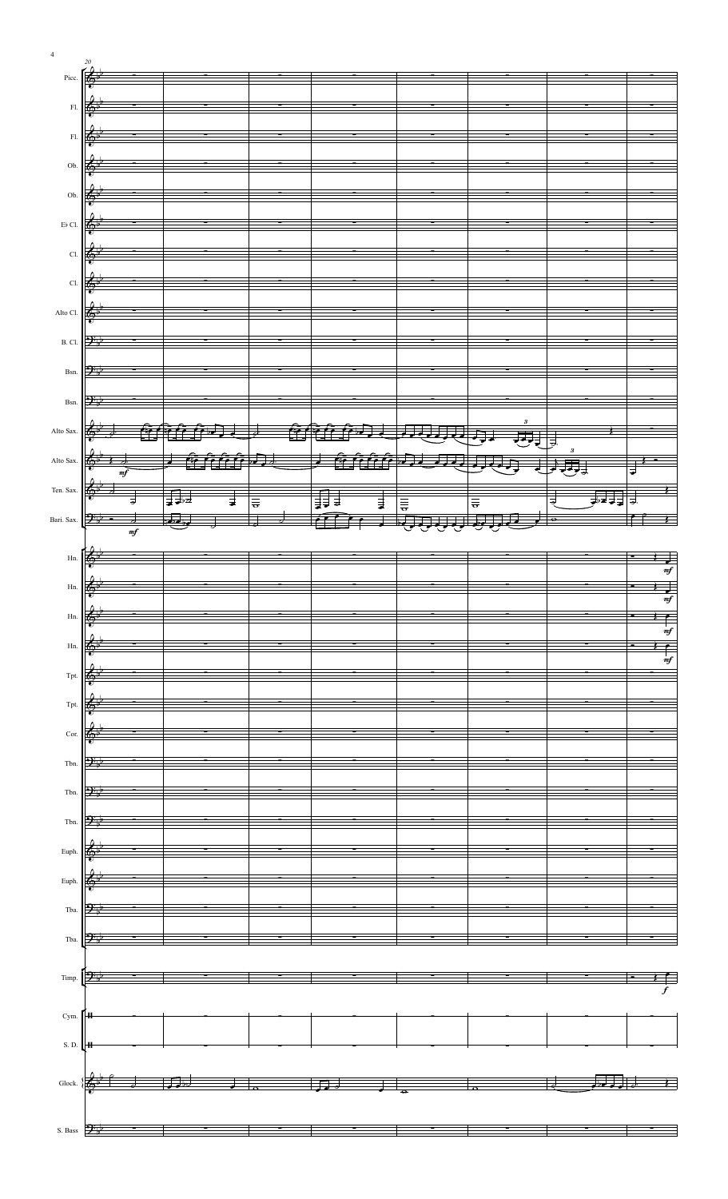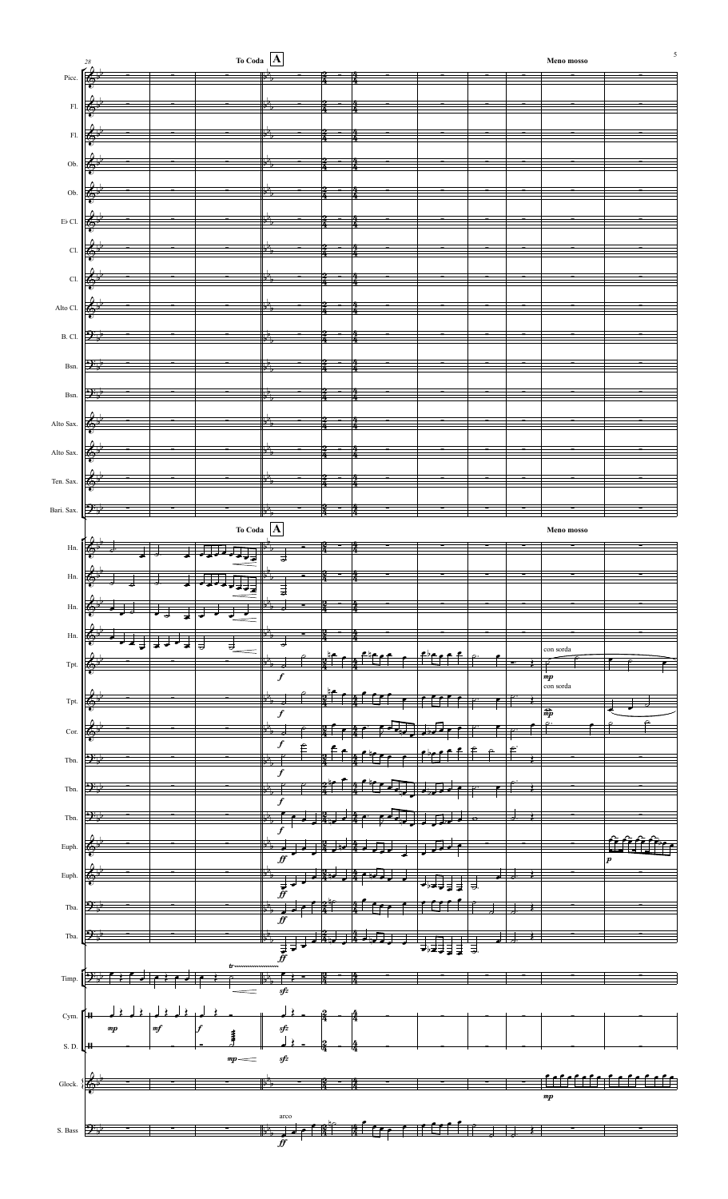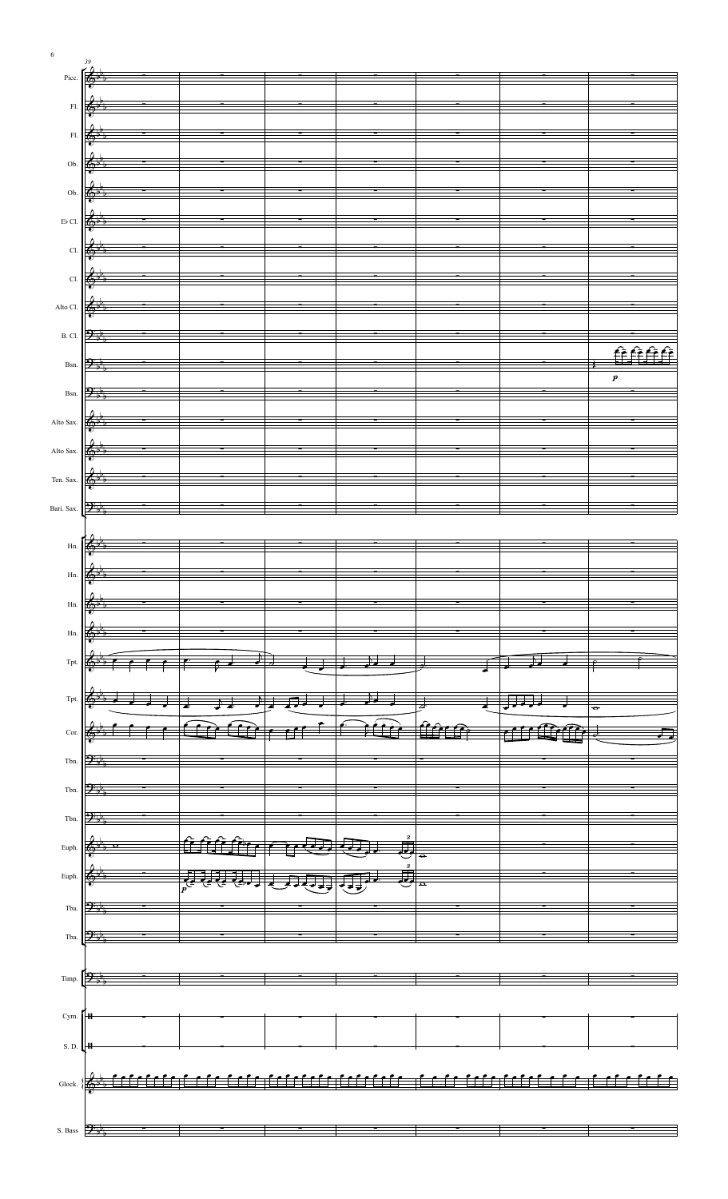| Pice.                                                                                                       |                                            |                                                                                                                                                                                                                                                                                                                                                                      |                                                                                                                      |  |                                                                                     |                   |
|-------------------------------------------------------------------------------------------------------------|--------------------------------------------|----------------------------------------------------------------------------------------------------------------------------------------------------------------------------------------------------------------------------------------------------------------------------------------------------------------------------------------------------------------------|----------------------------------------------------------------------------------------------------------------------|--|-------------------------------------------------------------------------------------|-------------------|
|                                                                                                             |                                            |                                                                                                                                                                                                                                                                                                                                                                      |                                                                                                                      |  |                                                                                     |                   |
|                                                                                                             |                                            |                                                                                                                                                                                                                                                                                                                                                                      |                                                                                                                      |  |                                                                                     |                   |
|                                                                                                             |                                            |                                                                                                                                                                                                                                                                                                                                                                      |                                                                                                                      |  |                                                                                     |                   |
| Ob. $\left  \bigoplus \right $                                                                              |                                            |                                                                                                                                                                                                                                                                                                                                                                      | <u> Territoria de la contenentación de la contenentación de la contenentación de la contenentación de la contene</u> |  |                                                                                     |                   |
| Ob. $\left\langle \left\langle \right\rangle \right\rangle$                                                 |                                            | $\overline{\phantom{a}}$ , and the contract of the contract of $\overline{\phantom{a}}$                                                                                                                                                                                                                                                                              |                                                                                                                      |  |                                                                                     |                   |
| $E\flat$ Cl.                                                                                                |                                            |                                                                                                                                                                                                                                                                                                                                                                      |                                                                                                                      |  |                                                                                     |                   |
|                                                                                                             |                                            |                                                                                                                                                                                                                                                                                                                                                                      |                                                                                                                      |  |                                                                                     |                   |
|                                                                                                             |                                            | $\overline{\phantom{a}}$ , and the contract of the contract of the contract of the contract of the contract of the contract of the contract of the contract of the contract of the contract of the contract of the contract of the contrac                                                                                                                           |                                                                                                                      |  |                                                                                     |                   |
| Cl. $\left\langle \frac{1}{2} \right\rangle$                                                                |                                            |                                                                                                                                                                                                                                                                                                                                                                      |                                                                                                                      |  |                                                                                     |                   |
| Alto Cl. $\left  \begin{array}{ccc} \downarrow & \downarrow \\ \downarrow & \downarrow \end{array} \right $ |                                            |                                                                                                                                                                                                                                                                                                                                                                      | <u> Tanzania (</u>                                                                                                   |  |                                                                                     |                   |
| B. Cl. $\mathbf{P}_{\mathbf{p}}$                                                                            | $\blacksquare$ . The set of $\blacksquare$ |                                                                                                                                                                                                                                                                                                                                                                      |                                                                                                                      |  |                                                                                     |                   |
|                                                                                                             |                                            |                                                                                                                                                                                                                                                                                                                                                                      |                                                                                                                      |  |                                                                                     | fift <sup>e</sup> |
| $\mathcal{P}_{\mathcal{P}_{\mathcal{P}}}$                                                                   |                                            |                                                                                                                                                                                                                                                                                                                                                                      |                                                                                                                      |  |                                                                                     | $\boldsymbol{p}$  |
| $\mathbf{P}_{\mathbf{F}_{\mathbf{p}}}$                                                                      |                                            |                                                                                                                                                                                                                                                                                                                                                                      |                                                                                                                      |  |                                                                                     |                   |
| Alto Sax.                                                                                                   |                                            |                                                                                                                                                                                                                                                                                                                                                                      |                                                                                                                      |  |                                                                                     |                   |
| 65                                                                                                          |                                            |                                                                                                                                                                                                                                                                                                                                                                      |                                                                                                                      |  |                                                                                     |                   |
|                                                                                                             |                                            |                                                                                                                                                                                                                                                                                                                                                                      |                                                                                                                      |  |                                                                                     |                   |
| $\frac{2}{9}$                                                                                               |                                            |                                                                                                                                                                                                                                                                                                                                                                      |                                                                                                                      |  |                                                                                     |                   |
| Bari. Sax. $\left \frac{\mathbf{Q}^{\perp} \mathbf{p}}{\mathbf{P}^{\perp} \mathbf{p}}\right $               |                                            |                                                                                                                                                                                                                                                                                                                                                                      |                                                                                                                      |  |                                                                                     |                   |
|                                                                                                             |                                            |                                                                                                                                                                                                                                                                                                                                                                      |                                                                                                                      |  |                                                                                     |                   |
| 侍                                                                                                           |                                            |                                                                                                                                                                                                                                                                                                                                                                      |                                                                                                                      |  |                                                                                     |                   |
| $\frac{1}{2}$ Hn.                                                                                           | $\overline{\phantom{a}}$                   |                                                                                                                                                                                                                                                                                                                                                                      |                                                                                                                      |  |                                                                                     |                   |
| $\frac{2}{9}$                                                                                               |                                            |                                                                                                                                                                                                                                                                                                                                                                      |                                                                                                                      |  |                                                                                     |                   |
|                                                                                                             |                                            |                                                                                                                                                                                                                                                                                                                                                                      |                                                                                                                      |  |                                                                                     |                   |
| $6^{3}$ -                                                                                                   |                                            |                                                                                                                                                                                                                                                                                                                                                                      |                                                                                                                      |  |                                                                                     |                   |
|                                                                                                             |                                            |                                                                                                                                                                                                                                                                                                                                                                      |                                                                                                                      |  | $\frac{1}{2}$ $\frac{1}{2}$ $\frac{1}{2}$ $\frac{1}{2}$ $\frac{1}{2}$ $\frac{1}{2}$ |                   |
|                                                                                                             |                                            |                                                                                                                                                                                                                                                                                                                                                                      |                                                                                                                      |  |                                                                                     |                   |
|                                                                                                             |                                            | $T_{\text{pt}}$ $\left  \frac{d^2y}{dx^2} + \frac{1}{x^2} + \frac{1}{x^2} + \frac{1}{x^2} + \frac{1}{x^2} + \frac{1}{x^2} + \frac{1}{x^2} + \frac{1}{x^2} + \frac{1}{x^2} + \frac{1}{x^2} + \frac{1}{x^2} + \frac{1}{x^2} + \frac{1}{x^2} + \frac{1}{x^2} + \frac{1}{x^2} + \frac{1}{x^2} + \frac{1}{x^2} + \frac{1}{x^2} + \frac{1}{x^2} + \frac{1}{x^2} + \frac{1$ |                                                                                                                      |  |                                                                                     |                   |
|                                                                                                             |                                            |                                                                                                                                                                                                                                                                                                                                                                      |                                                                                                                      |  | « bitte CoCorri Pto tor rette                                                       | 戸                 |
| $ 2,$ $ 2$                                                                                                  |                                            |                                                                                                                                                                                                                                                                                                                                                                      |                                                                                                                      |  |                                                                                     |                   |
| Tbn. $\mathcal{F}_{\mathcal{F}_{\mathcal{F}}}$                                                              |                                            |                                                                                                                                                                                                                                                                                                                                                                      |                                                                                                                      |  |                                                                                     |                   |
|                                                                                                             |                                            |                                                                                                                                                                                                                                                                                                                                                                      |                                                                                                                      |  |                                                                                     |                   |
| Tbn. $\left \frac{1}{2^{n+1}}\right $                                                                       |                                            |                                                                                                                                                                                                                                                                                                                                                                      |                                                                                                                      |  |                                                                                     |                   |
|                                                                                                             |                                            | Euph Control Control Control Control Control Control Control Control Control Control Control Control Control Control Control Control Control Control Control Control Control Control Control Control Control Control Control C                                                                                                                                       |                                                                                                                      |  |                                                                                     |                   |
| Euph. $\left \left \bigoplus_{i=1}^{n} B_i\right \right $                                                   |                                            | $\overline{\phantom{a}}$ , $\overline{a}$ , $\overline{a}$ , $\overline{a}$ , $\overline{a}$ , $\overline{a}$ , $\overline{a}$ , $\overline{a}$                                                                                                                                                                                                                      |                                                                                                                      |  |                                                                                     |                   |
|                                                                                                             |                                            |                                                                                                                                                                                                                                                                                                                                                                      |                                                                                                                      |  |                                                                                     |                   |
| $\mathcal{P}_{\mathcal{V}_b}$                                                                               |                                            |                                                                                                                                                                                                                                                                                                                                                                      |                                                                                                                      |  |                                                                                     |                   |
| Tba. $\left \frac{1}{2}\right $                                                                             |                                            |                                                                                                                                                                                                                                                                                                                                                                      |                                                                                                                      |  |                                                                                     |                   |
|                                                                                                             |                                            |                                                                                                                                                                                                                                                                                                                                                                      |                                                                                                                      |  |                                                                                     |                   |
| $\mathbf{D}_{\mathbf{F}}$                                                                                   |                                            |                                                                                                                                                                                                                                                                                                                                                                      |                                                                                                                      |  |                                                                                     |                   |
|                                                                                                             |                                            |                                                                                                                                                                                                                                                                                                                                                                      |                                                                                                                      |  |                                                                                     |                   |
| Cym. $\left  \cdot \right $                                                                                 |                                            |                                                                                                                                                                                                                                                                                                                                                                      |                                                                                                                      |  |                                                                                     |                   |
| S.D. $H$                                                                                                    |                                            |                                                                                                                                                                                                                                                                                                                                                                      |                                                                                                                      |  |                                                                                     |                   |
|                                                                                                             |                                            |                                                                                                                                                                                                                                                                                                                                                                      |                                                                                                                      |  |                                                                                     |                   |
|                                                                                                             |                                            |                                                                                                                                                                                                                                                                                                                                                                      |                                                                                                                      |  |                                                                                     |                   |
|                                                                                                             |                                            |                                                                                                                                                                                                                                                                                                                                                                      |                                                                                                                      |  |                                                                                     |                   |
| S. Bass $\frac{1}{2}$                                                                                       |                                            |                                                                                                                                                                                                                                                                                                                                                                      |                                                                                                                      |  |                                                                                     |                   |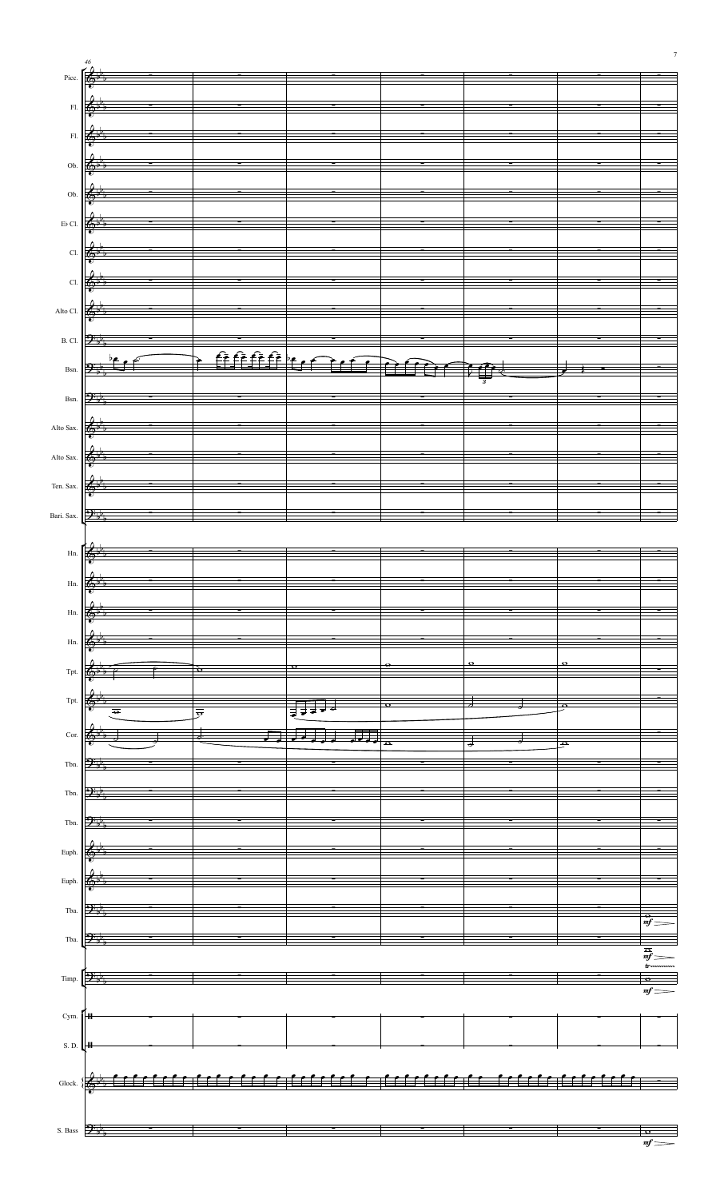| Picc. $\sqrt{\frac{1}{2}}$                                                                                 |                      |                      | <u> The Common State State State Sta</u> te |                                               |         |               |                                             |
|------------------------------------------------------------------------------------------------------------|----------------------|----------------------|---------------------------------------------|-----------------------------------------------|---------|---------------|---------------------------------------------|
|                                                                                                            |                      |                      |                                             |                                               |         |               |                                             |
| $FL$ $\frac{1}{2}$                                                                                         |                      |                      |                                             |                                               |         |               |                                             |
|                                                                                                            |                      |                      |                                             |                                               |         |               |                                             |
| $\overline{\text{FL}}$<br> ≴                                                                               |                      |                      |                                             |                                               |         |               |                                             |
| $\overline{OB}$                                                                                            |                      |                      |                                             |                                               |         |               |                                             |
|                                                                                                            |                      |                      |                                             |                                               |         |               |                                             |
| $\frac{1}{2}$ Ob.                                                                                          |                      |                      |                                             |                                               |         |               |                                             |
|                                                                                                            |                      |                      |                                             |                                               |         |               |                                             |
| $E \triangleright$ Cl. $\left\lfloor \frac{1}{2} \right\rfloor$                                            |                      |                      |                                             |                                               |         |               |                                             |
|                                                                                                            |                      |                      |                                             |                                               |         |               |                                             |
| $CL$ $\left  \bigoplus \limits_{n=1}^{\infty}$                                                             |                      | $\blacksquare$       |                                             |                                               |         |               |                                             |
| CL                                                                                                         |                      | $\sim$ $\sim$ $\sim$ |                                             |                                               |         |               |                                             |
|                                                                                                            |                      |                      |                                             |                                               |         |               |                                             |
| Alto Cl. $\left \left \left \right \right $                                                                |                      |                      |                                             |                                               |         |               |                                             |
|                                                                                                            |                      |                      |                                             |                                               |         |               |                                             |
| $B.$ Cl. $2 +$                                                                                             |                      |                      |                                             |                                               |         |               |                                             |
|                                                                                                            | 生产                   |                      |                                             |                                               |         |               |                                             |
| $B\sin \left  \frac{1}{2} \right $                                                                         |                      |                      |                                             |                                               |         | $\frac{1}{2}$ |                                             |
|                                                                                                            |                      |                      |                                             |                                               |         |               |                                             |
| $\mathfrak{P}_r$                                                                                           |                      |                      |                                             |                                               |         |               |                                             |
| Alto Sax. $\left \left(\frac{1}{2}\right)^{\frac{1}{2}}\right $                                            |                      |                      |                                             |                                               |         |               |                                             |
|                                                                                                            |                      |                      |                                             |                                               |         |               |                                             |
| Alto Sax. $\left \left(\begin{array}{cc} \bullet & \bullet \\ \bullet & \bullet \end{array}\right)\right $ |                      |                      |                                             |                                               |         |               |                                             |
|                                                                                                            |                      |                      |                                             |                                               |         |               |                                             |
| Ten. Sax. $\left \left(\frac{1}{2}\right)^{\frac{1}{2}}\right $                                            |                      | $\sim$ $\sim$ $\sim$ |                                             |                                               |         |               |                                             |
|                                                                                                            |                      |                      |                                             |                                               |         |               |                                             |
| Bari. Sax. $\frac{1}{2}$                                                                                   |                      |                      |                                             |                                               |         |               |                                             |
|                                                                                                            |                      |                      |                                             |                                               |         |               |                                             |
| 质                                                                                                          |                      |                      |                                             |                                               |         |               |                                             |
|                                                                                                            |                      |                      |                                             |                                               |         |               |                                             |
| $\frac{1}{2}$ $\frac{1}{2}$<br>$\bullet$                                                                   | $\mathbf{r}$         |                      | ÷                                           |                                               |         |               |                                             |
|                                                                                                            |                      |                      |                                             |                                               |         |               |                                             |
| $\frac{H_{\text{m}}}{\sqrt{2}}$                                                                            |                      |                      |                                             |                                               |         |               |                                             |
|                                                                                                            |                      |                      |                                             |                                               |         |               |                                             |
| Hn.                                                                                                        |                      |                      |                                             |                                               |         |               |                                             |
| $\label{eq:1} \text{Tpt.}$                                                                                 |                      |                      | <u>ि</u>                                    |                                               |         |               |                                             |
|                                                                                                            |                      |                      |                                             |                                               |         |               |                                             |
| Tpt. $\left  \bigoplus_{i=1}^{n}$                                                                          |                      |                      |                                             |                                               | $\circ$ |               |                                             |
|                                                                                                            | $\overline{\bullet}$ |                      | $\overline{\overline{5}}$                   | $\frac{1}{2}$ , $\frac{1}{2}$ , $\frac{1}{2}$ |         |               |                                             |
| $\frac{1}{\sqrt{2}}$ Cor.                                                                                  |                      |                      | $\overline{\phantom{a}}$                    | $\overline{\phantom{a}}$                      |         |               |                                             |
|                                                                                                            |                      |                      |                                             |                                               |         | ↔             |                                             |
| $\mathcal{P}_\mathbb{P}$                                                                                   |                      |                      |                                             |                                               |         |               |                                             |
|                                                                                                            |                      |                      |                                             |                                               |         |               |                                             |
| $\mathcal{P}_\mathcal{P}$                                                                                  |                      |                      |                                             |                                               |         |               |                                             |
|                                                                                                            |                      |                      |                                             |                                               |         |               |                                             |
| $\mathcal{P}_\mathcal{P}$                                                                                  |                      |                      |                                             |                                               |         |               |                                             |
|                                                                                                            |                      |                      |                                             |                                               |         |               |                                             |
| Euph. $\left  \bigoplus_{i=1}^{n}$                                                                         |                      |                      |                                             |                                               |         |               |                                             |
| Euph.                                                                                                      |                      |                      |                                             |                                               |         |               |                                             |
|                                                                                                            |                      |                      |                                             |                                               |         |               |                                             |
| Tba. $\mathbf{P}_{\mathbf{b}}$                                                                             |                      |                      |                                             |                                               |         |               |                                             |
|                                                                                                            |                      |                      |                                             |                                               |         |               | $\frac{\infty}{\textit{mf}}$                |
| Tba. $\left \frac{1}{2}\right $                                                                            |                      |                      |                                             |                                               |         |               |                                             |
|                                                                                                            |                      |                      |                                             |                                               |         |               | $\overline{\frac{\overline{\Theta}}{m}f}$ = |
| $\mathbb{P}_{\mathbb{Z}}$                                                                                  |                      |                      |                                             |                                               |         |               | trv                                         |
|                                                                                                            |                      |                      |                                             |                                               |         |               | $m f =$                                     |
|                                                                                                            |                      |                      |                                             |                                               |         |               |                                             |
| Cym. $H$                                                                                                   |                      |                      |                                             |                                               |         |               |                                             |
|                                                                                                            |                      |                      |                                             |                                               |         |               |                                             |
| S. D.                                                                                                      |                      |                      |                                             |                                               |         |               |                                             |
|                                                                                                            |                      |                      |                                             |                                               |         |               |                                             |
|                                                                                                            |                      |                      |                                             |                                               |         |               |                                             |
|                                                                                                            |                      |                      |                                             |                                               |         |               |                                             |
|                                                                                                            |                      |                      |                                             |                                               |         |               |                                             |
| S. Bass $\frac{1}{2}$                                                                                      |                      |                      |                                             |                                               |         |               | $\boxed{\circ}$                             |
|                                                                                                            |                      |                      |                                             |                                               |         |               | $mf \equiv$                                 |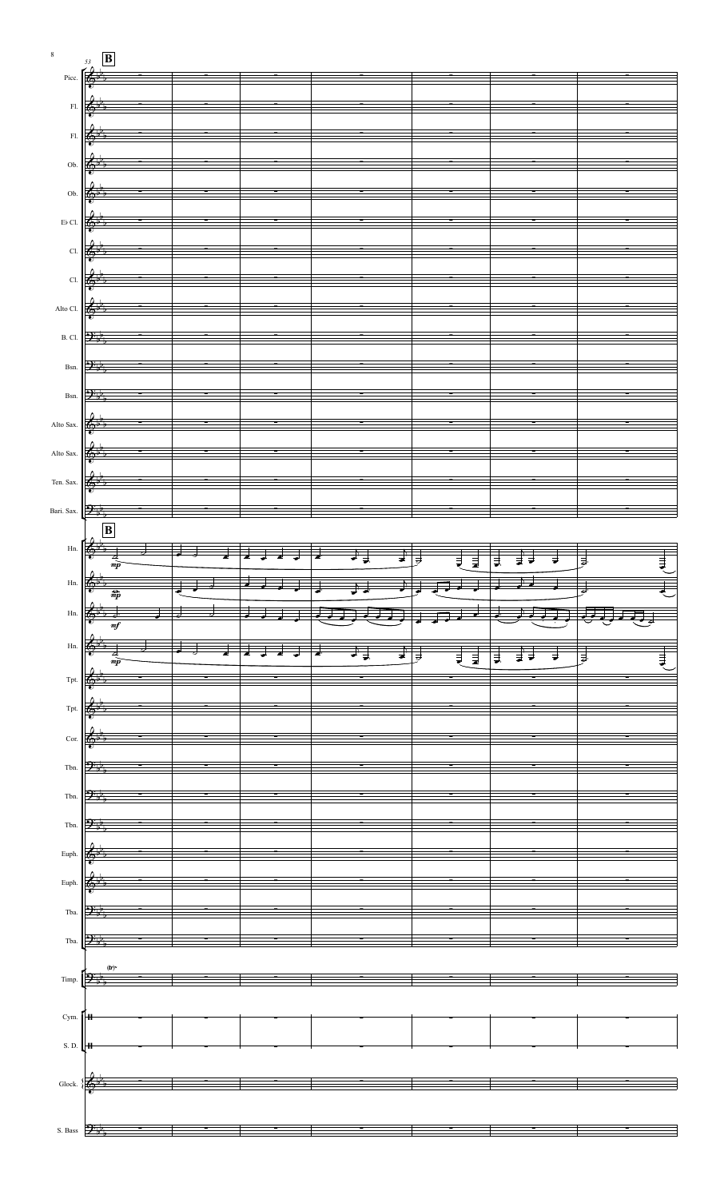| $\frac{53}{\text{Pic.}}$ $\overline{\mathbf{B}}$                                                                                                                                                                                                                                                                                                          |                                                                                                                                                                                                                                                                                                                                                     |                                                                                                                      |                                                                                                                                                                                                                                                                                                                                                                                                                                                                                                                                                                                                                                             |                          |                               |                  |
|-----------------------------------------------------------------------------------------------------------------------------------------------------------------------------------------------------------------------------------------------------------------------------------------------------------------------------------------------------------|-----------------------------------------------------------------------------------------------------------------------------------------------------------------------------------------------------------------------------------------------------------------------------------------------------------------------------------------------------|----------------------------------------------------------------------------------------------------------------------|---------------------------------------------------------------------------------------------------------------------------------------------------------------------------------------------------------------------------------------------------------------------------------------------------------------------------------------------------------------------------------------------------------------------------------------------------------------------------------------------------------------------------------------------------------------------------------------------------------------------------------------------|--------------------------|-------------------------------|------------------|
|                                                                                                                                                                                                                                                                                                                                                           |                                                                                                                                                                                                                                                                                                                                                     |                                                                                                                      |                                                                                                                                                                                                                                                                                                                                                                                                                                                                                                                                                                                                                                             |                          |                               |                  |
| $F1.$ $\left( \frac{1}{2} \right)$                                                                                                                                                                                                                                                                                                                        |                                                                                                                                                                                                                                                                                                                                                     |                                                                                                                      |                                                                                                                                                                                                                                                                                                                                                                                                                                                                                                                                                                                                                                             |                          |                               |                  |
|                                                                                                                                                                                                                                                                                                                                                           |                                                                                                                                                                                                                                                                                                                                                     |                                                                                                                      |                                                                                                                                                                                                                                                                                                                                                                                                                                                                                                                                                                                                                                             |                          |                               |                  |
| $F1.$ $\left($                                                                                                                                                                                                                                                                                                                                            |                                                                                                                                                                                                                                                                                                                                                     |                                                                                                                      |                                                                                                                                                                                                                                                                                                                                                                                                                                                                                                                                                                                                                                             |                          |                               |                  |
|                                                                                                                                                                                                                                                                                                                                                           |                                                                                                                                                                                                                                                                                                                                                     |                                                                                                                      |                                                                                                                                                                                                                                                                                                                                                                                                                                                                                                                                                                                                                                             |                          |                               |                  |
| Ob. $\left  \bigoplus_{i=1}^n B_i \right $                                                                                                                                                                                                                                                                                                                |                                                                                                                                                                                                                                                                                                                                                     |                                                                                                                      |                                                                                                                                                                                                                                                                                                                                                                                                                                                                                                                                                                                                                                             |                          |                               |                  |
|                                                                                                                                                                                                                                                                                                                                                           |                                                                                                                                                                                                                                                                                                                                                     |                                                                                                                      |                                                                                                                                                                                                                                                                                                                                                                                                                                                                                                                                                                                                                                             |                          |                               |                  |
| $\frac{2}{\sqrt{2}}$                                                                                                                                                                                                                                                                                                                                      | $\mathcal{L} = \mathcal{L} \mathcal{L}$                                                                                                                                                                                                                                                                                                             |                                                                                                                      |                                                                                                                                                                                                                                                                                                                                                                                                                                                                                                                                                                                                                                             |                          |                               |                  |
|                                                                                                                                                                                                                                                                                                                                                           |                                                                                                                                                                                                                                                                                                                                                     |                                                                                                                      |                                                                                                                                                                                                                                                                                                                                                                                                                                                                                                                                                                                                                                             |                          |                               |                  |
| $E\flat$ Cl. $\left \bigoplus_{i=1}^{n} \frac{1}{i} \right $                                                                                                                                                                                                                                                                                              |                                                                                                                                                                                                                                                                                                                                                     | <u>e de la provincia de la provincia de la provincia de la provincia de la provincia de la provincia de la provi</u> | $\mathbf{r}$ and $\mathbf{r}$                                                                                                                                                                                                                                                                                                                                                                                                                                                                                                                                                                                                               |                          |                               |                  |
|                                                                                                                                                                                                                                                                                                                                                           |                                                                                                                                                                                                                                                                                                                                                     |                                                                                                                      |                                                                                                                                                                                                                                                                                                                                                                                                                                                                                                                                                                                                                                             |                          |                               |                  |
| $CL$ $\theta$                                                                                                                                                                                                                                                                                                                                             |                                                                                                                                                                                                                                                                                                                                                     | <u>a sa sala</u>                                                                                                     |                                                                                                                                                                                                                                                                                                                                                                                                                                                                                                                                                                                                                                             |                          |                               |                  |
|                                                                                                                                                                                                                                                                                                                                                           | $\overline{\phantom{a}}$                                                                                                                                                                                                                                                                                                                            |                                                                                                                      |                                                                                                                                                                                                                                                                                                                                                                                                                                                                                                                                                                                                                                             |                          |                               |                  |
|                                                                                                                                                                                                                                                                                                                                                           | $CL$ $2^{+1}$                                                                                                                                                                                                                                                                                                                                       |                                                                                                                      |                                                                                                                                                                                                                                                                                                                                                                                                                                                                                                                                                                                                                                             |                          |                               |                  |
|                                                                                                                                                                                                                                                                                                                                                           |                                                                                                                                                                                                                                                                                                                                                     | $\mathcal{L}$                                                                                                        |                                                                                                                                                                                                                                                                                                                                                                                                                                                                                                                                                                                                                                             |                          |                               |                  |
|                                                                                                                                                                                                                                                                                                                                                           |                                                                                                                                                                                                                                                                                                                                                     |                                                                                                                      |                                                                                                                                                                                                                                                                                                                                                                                                                                                                                                                                                                                                                                             |                          |                               |                  |
|                                                                                                                                                                                                                                                                                                                                                           | Alto Cl. $\left(\begin{array}{c}\n\end{array}\right)$ $\begin{array}{ccc}\n\end{array}$                                                                                                                                                                                                                                                             |                                                                                                                      |                                                                                                                                                                                                                                                                                                                                                                                                                                                                                                                                                                                                                                             |                          |                               |                  |
|                                                                                                                                                                                                                                                                                                                                                           |                                                                                                                                                                                                                                                                                                                                                     |                                                                                                                      |                                                                                                                                                                                                                                                                                                                                                                                                                                                                                                                                                                                                                                             |                          |                               |                  |
| B. Cl. $\frac{1}{2}$ $\frac{1}{2}$ $\frac{1}{2}$ $\frac{1}{2}$ $\frac{1}{2}$ $\frac{1}{2}$ $\frac{1}{2}$ $\frac{1}{2}$ $\frac{1}{2}$ $\frac{1}{2}$ $\frac{1}{2}$ $\frac{1}{2}$ $\frac{1}{2}$ $\frac{1}{2}$ $\frac{1}{2}$ $\frac{1}{2}$ $\frac{1}{2}$ $\frac{1}{2}$ $\frac{1}{2}$ $\frac{1}{2}$ $\frac{1}{2}$ $\frac{$                                     |                                                                                                                                                                                                                                                                                                                                                     |                                                                                                                      |                                                                                                                                                                                                                                                                                                                                                                                                                                                                                                                                                                                                                                             |                          |                               |                  |
|                                                                                                                                                                                                                                                                                                                                                           |                                                                                                                                                                                                                                                                                                                                                     |                                                                                                                      |                                                                                                                                                                                                                                                                                                                                                                                                                                                                                                                                                                                                                                             |                          |                               |                  |
| $\mathcal{D}_{\mathcal{V}}$ and $\mathcal{D}_{\mathcal{V}}$                                                                                                                                                                                                                                                                                               |                                                                                                                                                                                                                                                                                                                                                     |                                                                                                                      |                                                                                                                                                                                                                                                                                                                                                                                                                                                                                                                                                                                                                                             |                          |                               |                  |
|                                                                                                                                                                                                                                                                                                                                                           |                                                                                                                                                                                                                                                                                                                                                     |                                                                                                                      |                                                                                                                                                                                                                                                                                                                                                                                                                                                                                                                                                                                                                                             |                          |                               |                  |
| $\mathcal{P}_{\mathcal{V}_{\mathcal{V}}}$                                                                                                                                                                                                                                                                                                                 |                                                                                                                                                                                                                                                                                                                                                     |                                                                                                                      |                                                                                                                                                                                                                                                                                                                                                                                                                                                                                                                                                                                                                                             |                          |                               |                  |
|                                                                                                                                                                                                                                                                                                                                                           |                                                                                                                                                                                                                                                                                                                                                     |                                                                                                                      |                                                                                                                                                                                                                                                                                                                                                                                                                                                                                                                                                                                                                                             |                          |                               |                  |
| Alto Sax. $\left \begin{array}{ccc} \downarrow & \downarrow & \downarrow \\ \downarrow & \downarrow & \downarrow \\ \downarrow & \downarrow & \downarrow \end{array}\right $                                                                                                                                                                              |                                                                                                                                                                                                                                                                                                                                                     |                                                                                                                      |                                                                                                                                                                                                                                                                                                                                                                                                                                                                                                                                                                                                                                             |                          |                               |                  |
|                                                                                                                                                                                                                                                                                                                                                           |                                                                                                                                                                                                                                                                                                                                                     |                                                                                                                      |                                                                                                                                                                                                                                                                                                                                                                                                                                                                                                                                                                                                                                             |                          |                               |                  |
| Alto Sax. $\left \left(\begin{array}{cc} \bullet & \bullet \\ \bullet & \bullet \end{array}\right)\right $                                                                                                                                                                                                                                                | $\overline{\phantom{a}}$                                                                                                                                                                                                                                                                                                                            |                                                                                                                      |                                                                                                                                                                                                                                                                                                                                                                                                                                                                                                                                                                                                                                             |                          |                               |                  |
|                                                                                                                                                                                                                                                                                                                                                           |                                                                                                                                                                                                                                                                                                                                                     |                                                                                                                      |                                                                                                                                                                                                                                                                                                                                                                                                                                                                                                                                                                                                                                             |                          |                               |                  |
| Ten. Sax. $\left \left(\begin{array}{cc} 1 & b \\ c & d \end{array}\right)\right $                                                                                                                                                                                                                                                                        | $\frac{1}{\sqrt{1-\frac{1}{2}}}\left( \frac{1}{\sqrt{1-\frac{1}{2}}}\right)$                                                                                                                                                                                                                                                                        |                                                                                                                      |                                                                                                                                                                                                                                                                                                                                                                                                                                                                                                                                                                                                                                             |                          |                               |                  |
|                                                                                                                                                                                                                                                                                                                                                           |                                                                                                                                                                                                                                                                                                                                                     |                                                                                                                      |                                                                                                                                                                                                                                                                                                                                                                                                                                                                                                                                                                                                                                             |                          |                               |                  |
| Bari. Sax.                                                                                                                                                                                                                                                                                                                                                |                                                                                                                                                                                                                                                                                                                                                     |                                                                                                                      |                                                                                                                                                                                                                                                                                                                                                                                                                                                                                                                                                                                                                                             |                          |                               |                  |
|                                                                                                                                                                                                                                                                                                                                                           |                                                                                                                                                                                                                                                                                                                                                     |                                                                                                                      |                                                                                                                                                                                                                                                                                                                                                                                                                                                                                                                                                                                                                                             |                          |                               |                  |
|                                                                                                                                                                                                                                                                                                                                                           |                                                                                                                                                                                                                                                                                                                                                     |                                                                                                                      |                                                                                                                                                                                                                                                                                                                                                                                                                                                                                                                                                                                                                                             |                          |                               |                  |
|                                                                                                                                                                                                                                                                                                                                                           | E<br>Hn. $\frac{B}{\sqrt{\frac{B^2}{m p}}}$                                                                                                                                                                                                                                                                                                         |                                                                                                                      | $\overline{\rightarrow}$ $\overline{\rightarrow}$ $\overline{\rightarrow}$ $\overline{\rightarrow}$ $\overline{\rightarrow}$ $\overline{\rightarrow}$ $\overline{\rightarrow}$ $\overline{\rightarrow}$ $\overline{\rightarrow}$ $\overline{\rightarrow}$ $\overline{\rightarrow}$ $\overline{\rightarrow}$ $\overline{\rightarrow}$ $\overline{\rightarrow}$ $\overline{\rightarrow}$ $\overline{\rightarrow}$ $\overline{\rightarrow}$ $\overline{\rightarrow}$ $\overline{\rightarrow}$ $\overline{\rightarrow}$ $\overline{\rightarrow}$ $\overline{\rightarrow}$ $\overline{\rightarrow}$ $\overline{\rightarrow}$ $\overline{\$<br>Ħ. |                          |                               |                  |
|                                                                                                                                                                                                                                                                                                                                                           |                                                                                                                                                                                                                                                                                                                                                     |                                                                                                                      |                                                                                                                                                                                                                                                                                                                                                                                                                                                                                                                                                                                                                                             |                          | 寺                             | ▐<br>₹           |
|                                                                                                                                                                                                                                                                                                                                                           |                                                                                                                                                                                                                                                                                                                                                     |                                                                                                                      |                                                                                                                                                                                                                                                                                                                                                                                                                                                                                                                                                                                                                                             | $\overline{\phantom{a}}$ |                               |                  |
| $\frac{\Theta}{mp}$                                                                                                                                                                                                                                                                                                                                       |                                                                                                                                                                                                                                                                                                                                                     |                                                                                                                      |                                                                                                                                                                                                                                                                                                                                                                                                                                                                                                                                                                                                                                             |                          |                               |                  |
|                                                                                                                                                                                                                                                                                                                                                           |                                                                                                                                                                                                                                                                                                                                                     |                                                                                                                      |                                                                                                                                                                                                                                                                                                                                                                                                                                                                                                                                                                                                                                             |                          |                               |                  |
|                                                                                                                                                                                                                                                                                                                                                           |                                                                                                                                                                                                                                                                                                                                                     |                                                                                                                      |                                                                                                                                                                                                                                                                                                                                                                                                                                                                                                                                                                                                                                             |                          |                               |                  |
|                                                                                                                                                                                                                                                                                                                                                           |                                                                                                                                                                                                                                                                                                                                                     |                                                                                                                      | $\overline{\phantom{a}}$                                                                                                                                                                                                                                                                                                                                                                                                                                                                                                                                                                                                                    |                          | $\sqrt{25}$ , and $\sqrt{27}$ | $\overline{177}$ |
| $\frac{1}{2}$                                                                                                                                                                                                                                                                                                                                             | $\frac{1}{\sqrt{2}}$ , $\frac{1}{\sqrt{2}}$ , $\frac{1}{\sqrt{2}}$ , $\frac{1}{\sqrt{2}}$                                                                                                                                                                                                                                                           |                                                                                                                      |                                                                                                                                                                                                                                                                                                                                                                                                                                                                                                                                                                                                                                             |                          |                               |                  |
|                                                                                                                                                                                                                                                                                                                                                           |                                                                                                                                                                                                                                                                                                                                                     |                                                                                                                      |                                                                                                                                                                                                                                                                                                                                                                                                                                                                                                                                                                                                                                             |                          |                               |                  |
|                                                                                                                                                                                                                                                                                                                                                           |                                                                                                                                                                                                                                                                                                                                                     |                                                                                                                      |                                                                                                                                                                                                                                                                                                                                                                                                                                                                                                                                                                                                                                             |                          |                               | ŧ                |
|                                                                                                                                                                                                                                                                                                                                                           |                                                                                                                                                                                                                                                                                                                                                     |                                                                                                                      | $\lim_{x\to 0} \left  \frac{a_0^2b_0^2}{x^2} - a_0^2 - a_0^2 - a_0^2 - a_0^2 - a_0^2 - a_0^2 - a_0^2 - a_0^2 - a_0^2 - a_0^2 - a_0^2 - a_0^2 - a_0^2 - a_0^2 - a_0^2 - a_0^2 - a_0^2 - a_0^2 - a_0^2 - a_0^2 - a_0^2 - a_0^2 - a_0^2 - a_0^2 - a_0^2 - a_0^2 - a_0^2 - a_0^2 - a_0^2 - a_0^2 - a_0^2 - a_0$                                                                                                                                                                                                                                                                                                                                 |                          |                               |                  |
|                                                                                                                                                                                                                                                                                                                                                           |                                                                                                                                                                                                                                                                                                                                                     |                                                                                                                      |                                                                                                                                                                                                                                                                                                                                                                                                                                                                                                                                                                                                                                             |                          |                               |                  |
|                                                                                                                                                                                                                                                                                                                                                           |                                                                                                                                                                                                                                                                                                                                                     |                                                                                                                      |                                                                                                                                                                                                                                                                                                                                                                                                                                                                                                                                                                                                                                             |                          |                               |                  |
|                                                                                                                                                                                                                                                                                                                                                           | Tpt. $\left \left(\frac{1}{2}\right)^{\frac{1}{2}}\right $                                                                                                                                                                                                                                                                                          |                                                                                                                      |                                                                                                                                                                                                                                                                                                                                                                                                                                                                                                                                                                                                                                             |                          |                               |                  |
|                                                                                                                                                                                                                                                                                                                                                           |                                                                                                                                                                                                                                                                                                                                                     |                                                                                                                      |                                                                                                                                                                                                                                                                                                                                                                                                                                                                                                                                                                                                                                             |                          |                               |                  |
|                                                                                                                                                                                                                                                                                                                                                           | $\int$ Cor. $\left  \bigoplus_{i=1}^b \frac{1}{b_i} \right $                                                                                                                                                                                                                                                                                        |                                                                                                                      |                                                                                                                                                                                                                                                                                                                                                                                                                                                                                                                                                                                                                                             |                          |                               |                  |
|                                                                                                                                                                                                                                                                                                                                                           |                                                                                                                                                                                                                                                                                                                                                     |                                                                                                                      |                                                                                                                                                                                                                                                                                                                                                                                                                                                                                                                                                                                                                                             |                          |                               |                  |
|                                                                                                                                                                                                                                                                                                                                                           |                                                                                                                                                                                                                                                                                                                                                     |                                                                                                                      |                                                                                                                                                                                                                                                                                                                                                                                                                                                                                                                                                                                                                                             |                          |                               |                  |
|                                                                                                                                                                                                                                                                                                                                                           |                                                                                                                                                                                                                                                                                                                                                     |                                                                                                                      |                                                                                                                                                                                                                                                                                                                                                                                                                                                                                                                                                                                                                                             |                          |                               |                  |
|                                                                                                                                                                                                                                                                                                                                                           |                                                                                                                                                                                                                                                                                                                                                     |                                                                                                                      |                                                                                                                                                                                                                                                                                                                                                                                                                                                                                                                                                                                                                                             |                          |                               |                  |
|                                                                                                                                                                                                                                                                                                                                                           |                                                                                                                                                                                                                                                                                                                                                     |                                                                                                                      |                                                                                                                                                                                                                                                                                                                                                                                                                                                                                                                                                                                                                                             |                          |                               |                  |
|                                                                                                                                                                                                                                                                                                                                                           |                                                                                                                                                                                                                                                                                                                                                     |                                                                                                                      |                                                                                                                                                                                                                                                                                                                                                                                                                                                                                                                                                                                                                                             |                          |                               |                  |
|                                                                                                                                                                                                                                                                                                                                                           |                                                                                                                                                                                                                                                                                                                                                     |                                                                                                                      |                                                                                                                                                                                                                                                                                                                                                                                                                                                                                                                                                                                                                                             |                          |                               |                  |
|                                                                                                                                                                                                                                                                                                                                                           |                                                                                                                                                                                                                                                                                                                                                     |                                                                                                                      |                                                                                                                                                                                                                                                                                                                                                                                                                                                                                                                                                                                                                                             |                          |                               |                  |
|                                                                                                                                                                                                                                                                                                                                                           | Euph. $\left \begin{array}{ccc} \downarrow & \downarrow & \downarrow \\ \downarrow & \downarrow & \downarrow \\ \downarrow & \downarrow & \downarrow \end{array}\right $                                                                                                                                                                            |                                                                                                                      |                                                                                                                                                                                                                                                                                                                                                                                                                                                                                                                                                                                                                                             |                          |                               |                  |
|                                                                                                                                                                                                                                                                                                                                                           |                                                                                                                                                                                                                                                                                                                                                     |                                                                                                                      |                                                                                                                                                                                                                                                                                                                                                                                                                                                                                                                                                                                                                                             |                          |                               |                  |
|                                                                                                                                                                                                                                                                                                                                                           | Euph. $\left \begin{array}{ccc} \downarrow & \downarrow & \downarrow \\ \downarrow & \downarrow & \downarrow \\ \downarrow & \downarrow & \downarrow \end{array}\right $                                                                                                                                                                            |                                                                                                                      |                                                                                                                                                                                                                                                                                                                                                                                                                                                                                                                                                                                                                                             |                          |                               |                  |
|                                                                                                                                                                                                                                                                                                                                                           |                                                                                                                                                                                                                                                                                                                                                     |                                                                                                                      |                                                                                                                                                                                                                                                                                                                                                                                                                                                                                                                                                                                                                                             |                          |                               |                  |
|                                                                                                                                                                                                                                                                                                                                                           |                                                                                                                                                                                                                                                                                                                                                     |                                                                                                                      |                                                                                                                                                                                                                                                                                                                                                                                                                                                                                                                                                                                                                                             |                          |                               |                  |
|                                                                                                                                                                                                                                                                                                                                                           |                                                                                                                                                                                                                                                                                                                                                     |                                                                                                                      |                                                                                                                                                                                                                                                                                                                                                                                                                                                                                                                                                                                                                                             |                          |                               |                  |
|                                                                                                                                                                                                                                                                                                                                                           |                                                                                                                                                                                                                                                                                                                                                     |                                                                                                                      |                                                                                                                                                                                                                                                                                                                                                                                                                                                                                                                                                                                                                                             |                          |                               |                  |
|                                                                                                                                                                                                                                                                                                                                                           |                                                                                                                                                                                                                                                                                                                                                     |                                                                                                                      |                                                                                                                                                                                                                                                                                                                                                                                                                                                                                                                                                                                                                                             |                          |                               |                  |
|                                                                                                                                                                                                                                                                                                                                                           |                                                                                                                                                                                                                                                                                                                                                     |                                                                                                                      |                                                                                                                                                                                                                                                                                                                                                                                                                                                                                                                                                                                                                                             |                          |                               |                  |
|                                                                                                                                                                                                                                                                                                                                                           | $\begin{picture}(180,10) \put(0,0){\line(1,0){100}} \put(0,0){\line(1,0){100}} \put(0,0){\line(1,0){100}} \put(0,0){\line(1,0){100}} \put(0,0){\line(1,0){100}} \put(0,0){\line(1,0){100}} \put(0,0){\line(1,0){100}} \put(0,0){\line(1,0){100}} \put(0,0){\line(1,0){100}} \put(0,0){\line(1,0){100}} \put(0,0){\line(1,0){100}} \put(0,0){\line($ |                                                                                                                      |                                                                                                                                                                                                                                                                                                                                                                                                                                                                                                                                                                                                                                             |                          |                               |                  |
|                                                                                                                                                                                                                                                                                                                                                           |                                                                                                                                                                                                                                                                                                                                                     |                                                                                                                      |                                                                                                                                                                                                                                                                                                                                                                                                                                                                                                                                                                                                                                             |                          |                               |                  |
| Tpt. $\left\langle \left\langle \frac{1}{2} \right\rangle \right\rangle$<br>Tbn. $\left  \frac{1}{2} \right _p$<br>Tbn. $\left \frac{\mathbf{Q}}{\mathbf{Q}}\right _2$<br>Tbn. $\left[\frac{\partial^2 y}{\partial x^2}\right]$ $\left[\frac{\partial^2 y}{\partial y^2}\right]$<br>Tba. $2\frac{1}{2}$<br>Tba. $\left \mathbf{\mathcal{D}}\right $<br>⊪# |                                                                                                                                                                                                                                                                                                                                                     |                                                                                                                      |                                                                                                                                                                                                                                                                                                                                                                                                                                                                                                                                                                                                                                             |                          |                               |                  |
|                                                                                                                                                                                                                                                                                                                                                           |                                                                                                                                                                                                                                                                                                                                                     |                                                                                                                      |                                                                                                                                                                                                                                                                                                                                                                                                                                                                                                                                                                                                                                             |                          |                               |                  |
|                                                                                                                                                                                                                                                                                                                                                           |                                                                                                                                                                                                                                                                                                                                                     |                                                                                                                      |                                                                                                                                                                                                                                                                                                                                                                                                                                                                                                                                                                                                                                             |                          |                               |                  |
| S.D.                                                                                                                                                                                                                                                                                                                                                      |                                                                                                                                                                                                                                                                                                                                                     |                                                                                                                      |                                                                                                                                                                                                                                                                                                                                                                                                                                                                                                                                                                                                                                             |                          |                               |                  |
|                                                                                                                                                                                                                                                                                                                                                           |                                                                                                                                                                                                                                                                                                                                                     |                                                                                                                      |                                                                                                                                                                                                                                                                                                                                                                                                                                                                                                                                                                                                                                             |                          |                               |                  |
| Glock. $\left\{\frac{1}{\sqrt{2}}\right\}$                                                                                                                                                                                                                                                                                                                |                                                                                                                                                                                                                                                                                                                                                     |                                                                                                                      |                                                                                                                                                                                                                                                                                                                                                                                                                                                                                                                                                                                                                                             |                          |                               |                  |
|                                                                                                                                                                                                                                                                                                                                                           |                                                                                                                                                                                                                                                                                                                                                     |                                                                                                                      |                                                                                                                                                                                                                                                                                                                                                                                                                                                                                                                                                                                                                                             |                          |                               |                  |
|                                                                                                                                                                                                                                                                                                                                                           |                                                                                                                                                                                                                                                                                                                                                     |                                                                                                                      |                                                                                                                                                                                                                                                                                                                                                                                                                                                                                                                                                                                                                                             |                          |                               |                  |
| S. Bass $\frac{1}{\sqrt{2}}$                                                                                                                                                                                                                                                                                                                              |                                                                                                                                                                                                                                                                                                                                                     |                                                                                                                      |                                                                                                                                                                                                                                                                                                                                                                                                                                                                                                                                                                                                                                             |                          |                               |                  |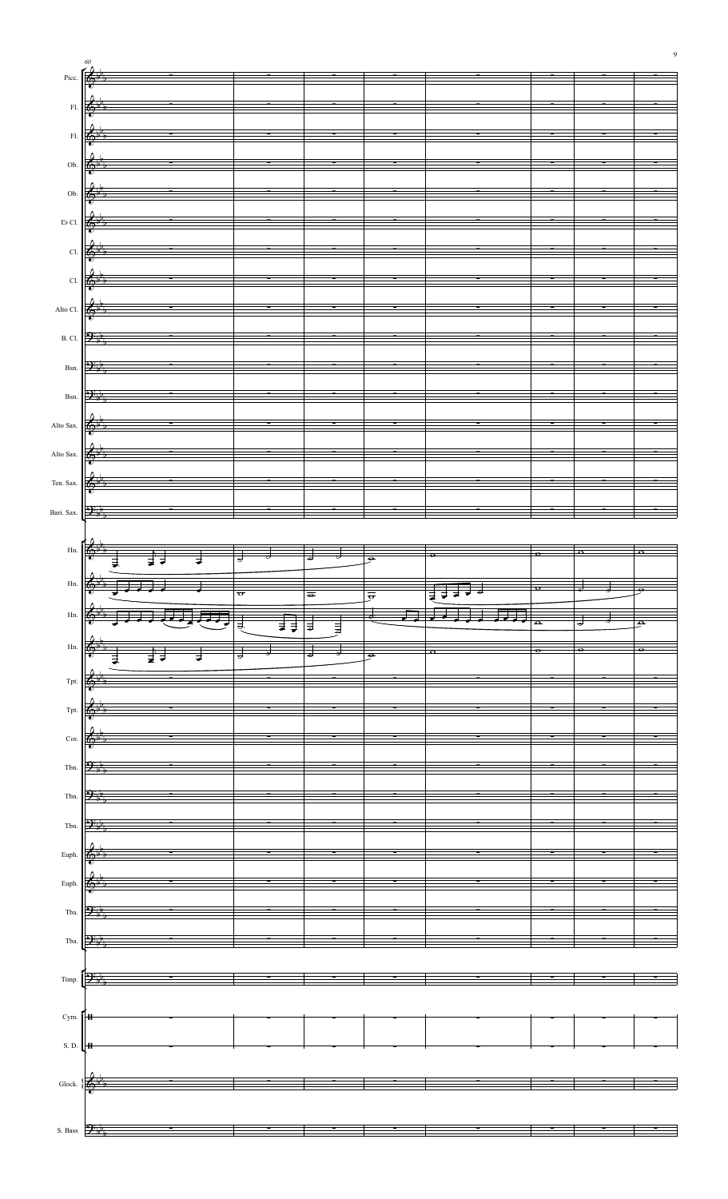| Picc.                                                                                                                                                                                                                                                                                                                                                                                                                                                     |                      |
|-----------------------------------------------------------------------------------------------------------------------------------------------------------------------------------------------------------------------------------------------------------------------------------------------------------------------------------------------------------------------------------------------------------------------------------------------------------|----------------------|
| F1.                                                                                                                                                                                                                                                                                                                                                                                                                                                       |                      |
|                                                                                                                                                                                                                                                                                                                                                                                                                                                           |                      |
|                                                                                                                                                                                                                                                                                                                                                                                                                                                           |                      |
| F1.                                                                                                                                                                                                                                                                                                                                                                                                                                                       |                      |
|                                                                                                                                                                                                                                                                                                                                                                                                                                                           |                      |
| Ob. $\left  \begin{array}{c} \mathbf{L} \\ \mathbf{L} \end{array} \right $                                                                                                                                                                                                                                                                                                                                                                                |                      |
|                                                                                                                                                                                                                                                                                                                                                                                                                                                           |                      |
| Ob. $\left  \begin{array}{c} \sqrt{3} & \frac{1}{2} \\ \frac{1}{2} & \frac{1}{2} \end{array} \right $                                                                                                                                                                                                                                                                                                                                                     |                      |
|                                                                                                                                                                                                                                                                                                                                                                                                                                                           |                      |
| $E\flat$ Cl.                                                                                                                                                                                                                                                                                                                                                                                                                                              |                      |
|                                                                                                                                                                                                                                                                                                                                                                                                                                                           |                      |
| $CL$ $8b$<br>$\sim$                                                                                                                                                                                                                                                                                                                                                                                                                                       |                      |
|                                                                                                                                                                                                                                                                                                                                                                                                                                                           |                      |
| Cl. $\frac{2}{9^{1/2}}$                                                                                                                                                                                                                                                                                                                                                                                                                                   |                      |
|                                                                                                                                                                                                                                                                                                                                                                                                                                                           |                      |
| Alto Cl. $\left  \bigoplus_{n=1}^{\infty}$                                                                                                                                                                                                                                                                                                                                                                                                                |                      |
|                                                                                                                                                                                                                                                                                                                                                                                                                                                           |                      |
| B. Cl. $2\frac{1}{2}$                                                                                                                                                                                                                                                                                                                                                                                                                                     |                      |
|                                                                                                                                                                                                                                                                                                                                                                                                                                                           |                      |
| Bsn. $2\frac{1}{2}$                                                                                                                                                                                                                                                                                                                                                                                                                                       |                      |
|                                                                                                                                                                                                                                                                                                                                                                                                                                                           |                      |
| Bsn. $\left  \frac{\partial}{\partial \phi} \right _p$                                                                                                                                                                                                                                                                                                                                                                                                    |                      |
|                                                                                                                                                                                                                                                                                                                                                                                                                                                           |                      |
| Alto Sax.                                                                                                                                                                                                                                                                                                                                                                                                                                                 |                      |
|                                                                                                                                                                                                                                                                                                                                                                                                                                                           |                      |
| Alto Sax.                                                                                                                                                                                                                                                                                                                                                                                                                                                 |                      |
|                                                                                                                                                                                                                                                                                                                                                                                                                                                           |                      |
| Ten. Sax.                                                                                                                                                                                                                                                                                                                                                                                                                                                 |                      |
|                                                                                                                                                                                                                                                                                                                                                                                                                                                           |                      |
| Bari. Sax. 3                                                                                                                                                                                                                                                                                                                                                                                                                                              |                      |
|                                                                                                                                                                                                                                                                                                                                                                                                                                                           |                      |
|                                                                                                                                                                                                                                                                                                                                                                                                                                                           |                      |
| $\frac{1}{2}$ Hn.<br>$\frac{1}{2}$ $\frac{1}{2}$ $\frac{1}{2}$ $\frac{1}{2}$ $\frac{1}{2}$ $\frac{1}{2}$ $\frac{1}{2}$ $\frac{1}{2}$ $\frac{1}{2}$ $\frac{1}{2}$ $\frac{1}{2}$ $\frac{1}{2}$ $\frac{1}{2}$ $\frac{1}{2}$ $\frac{1}{2}$ $\frac{1}{2}$ $\frac{1}{2}$ $\frac{1}{2}$ $\frac{1}{2}$ $\frac{1}{2}$ $\frac{1}{2}$ $\frac{1}{2}$<br>$\overline{\bullet}$                                                                                          | $\overline{\bullet}$ |
|                                                                                                                                                                                                                                                                                                                                                                                                                                                           |                      |
|                                                                                                                                                                                                                                                                                                                                                                                                                                                           |                      |
|                                                                                                                                                                                                                                                                                                                                                                                                                                                           |                      |
| $\frac{2}{6}$ $\frac{1}{1}$<br>$\pm$<br>۳                                                                                                                                                                                                                                                                                                                                                                                                                 |                      |
| $\overline{\sigma}$<br>$\overline{\bullet}$<br>$\overline{\overline{v}}$                                                                                                                                                                                                                                                                                                                                                                                  |                      |
| $\sqrt{2}$                                                                                                                                                                                                                                                                                                                                                                                                                                                | $\overline{\bullet}$ |
| $\overline{}$ .                                                                                                                                                                                                                                                                                                                                                                                                                                           |                      |
|                                                                                                                                                                                                                                                                                                                                                                                                                                                           | $\overline{\bullet}$ |
| $\overline{\bullet}$                                                                                                                                                                                                                                                                                                                                                                                                                                      |                      |
|                                                                                                                                                                                                                                                                                                                                                                                                                                                           |                      |
|                                                                                                                                                                                                                                                                                                                                                                                                                                                           |                      |
|                                                                                                                                                                                                                                                                                                                                                                                                                                                           |                      |
|                                                                                                                                                                                                                                                                                                                                                                                                                                                           |                      |
|                                                                                                                                                                                                                                                                                                                                                                                                                                                           |                      |
|                                                                                                                                                                                                                                                                                                                                                                                                                                                           |                      |
|                                                                                                                                                                                                                                                                                                                                                                                                                                                           |                      |
| $\mathcal{P}_{\mathcal{P}_b}$                                                                                                                                                                                                                                                                                                                                                                                                                             |                      |
|                                                                                                                                                                                                                                                                                                                                                                                                                                                           |                      |
| $ {\mathcal{Y}}_r $                                                                                                                                                                                                                                                                                                                                                                                                                                       |                      |
|                                                                                                                                                                                                                                                                                                                                                                                                                                                           |                      |
|                                                                                                                                                                                                                                                                                                                                                                                                                                                           |                      |
|                                                                                                                                                                                                                                                                                                                                                                                                                                                           |                      |
|                                                                                                                                                                                                                                                                                                                                                                                                                                                           |                      |
|                                                                                                                                                                                                                                                                                                                                                                                                                                                           |                      |
|                                                                                                                                                                                                                                                                                                                                                                                                                                                           |                      |
|                                                                                                                                                                                                                                                                                                                                                                                                                                                           |                      |
|                                                                                                                                                                                                                                                                                                                                                                                                                                                           |                      |
|                                                                                                                                                                                                                                                                                                                                                                                                                                                           |                      |
|                                                                                                                                                                                                                                                                                                                                                                                                                                                           |                      |
|                                                                                                                                                                                                                                                                                                                                                                                                                                                           |                      |
|                                                                                                                                                                                                                                                                                                                                                                                                                                                           |                      |
| $Hn$ .<br>$\operatorname{Hn.}$<br>$\lim_{b} \frac{\frac{1}{b} \frac{1}{b}}{\frac{1}{b} \frac{1}{b}}$<br>$\frac{1}{2}$<br>Tpt.<br>Cor.<br>Tbn.<br>Tbn.<br>Tbn. $\frac{1}{2}$<br>Euph. $\left  \bigoplus_{i=1}^{n}$<br>Euph. $\left  \bigoplus \frac{1}{2}$<br>Tba. $2\frac{1}{2}$<br>Tba. $\left \frac{\partial \cdot \mathbf{b}}{\partial \cdot \mathbf{b}}\right _2$<br>Timp. $\left[\frac{\partial \cdot \mathbf{b}}{\partial \cdot \mathbf{b}}\right]$ |                      |
|                                                                                                                                                                                                                                                                                                                                                                                                                                                           |                      |
|                                                                                                                                                                                                                                                                                                                                                                                                                                                           |                      |
|                                                                                                                                                                                                                                                                                                                                                                                                                                                           |                      |
|                                                                                                                                                                                                                                                                                                                                                                                                                                                           |                      |
|                                                                                                                                                                                                                                                                                                                                                                                                                                                           |                      |
|                                                                                                                                                                                                                                                                                                                                                                                                                                                           |                      |
| $Cym$ .<br>S.D.                                                                                                                                                                                                                                                                                                                                                                                                                                           |                      |
|                                                                                                                                                                                                                                                                                                                                                                                                                                                           |                      |
|                                                                                                                                                                                                                                                                                                                                                                                                                                                           |                      |
| Glock. $\sqrt{\frac{1}{2}}$<br>S. Bass $\overline{\mathbf{2}}$                                                                                                                                                                                                                                                                                                                                                                                            |                      |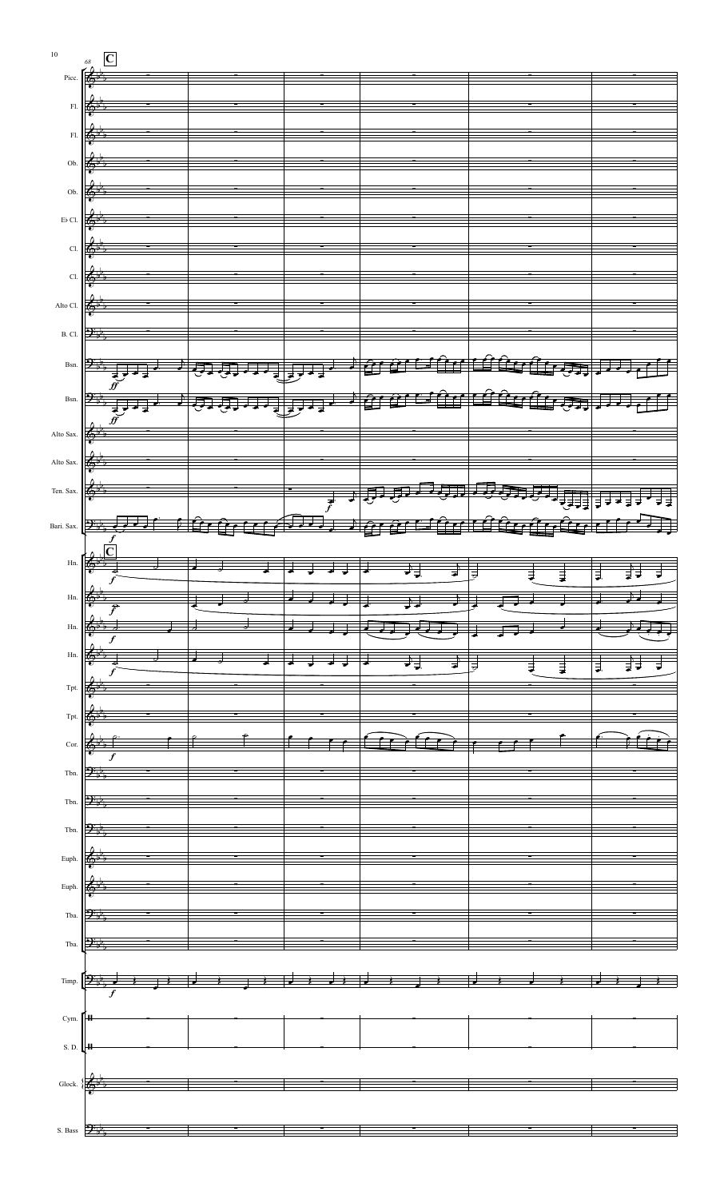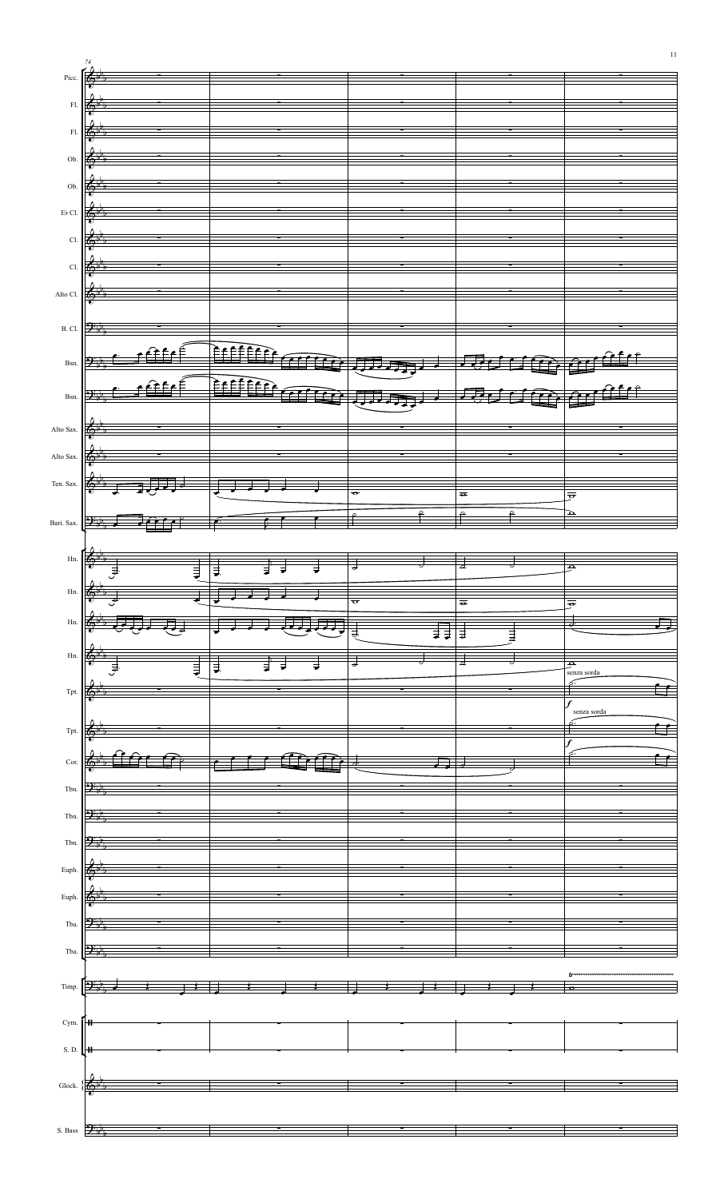|                                                                                        |                                                                                                                                                                                                                                      |                          |        |                     |                               |                      |            | 11                             |
|----------------------------------------------------------------------------------------|--------------------------------------------------------------------------------------------------------------------------------------------------------------------------------------------------------------------------------------|--------------------------|--------|---------------------|-------------------------------|----------------------|------------|--------------------------------|
| Picc.                                                                                  |                                                                                                                                                                                                                                      |                          |        |                     |                               |                      |            |                                |
|                                                                                        |                                                                                                                                                                                                                                      |                          |        |                     |                               |                      |            |                                |
| FL                                                                                     |                                                                                                                                                                                                                                      |                          |        |                     |                               |                      |            |                                |
|                                                                                        |                                                                                                                                                                                                                                      |                          |        |                     |                               |                      |            |                                |
|                                                                                        |                                                                                                                                                                                                                                      |                          |        |                     |                               |                      |            |                                |
|                                                                                        |                                                                                                                                                                                                                                      |                          |        |                     |                               |                      |            |                                |
|                                                                                        |                                                                                                                                                                                                                                      |                          |        |                     |                               |                      |            |                                |
|                                                                                        |                                                                                                                                                                                                                                      |                          |        |                     |                               |                      |            |                                |
|                                                                                        |                                                                                                                                                                                                                                      |                          |        |                     |                               |                      |            |                                |
|                                                                                        |                                                                                                                                                                                                                                      |                          |        |                     |                               |                      |            |                                |
| Cl. $\left  \bigoplus_{i=1}^n V_i \right $                                             |                                                                                                                                                                                                                                      |                          |        |                     |                               |                      |            |                                |
|                                                                                        |                                                                                                                                                                                                                                      |                          |        |                     |                               |                      |            |                                |
|                                                                                        |                                                                                                                                                                                                                                      |                          |        |                     |                               |                      |            |                                |
|                                                                                        |                                                                                                                                                                                                                                      |                          |        |                     |                               |                      |            |                                |
| Alto Cl. $\left(\frac{b}{2}\right)^{\frac{1}{2}}$                                      |                                                                                                                                                                                                                                      |                          |        |                     |                               |                      |            |                                |
|                                                                                        |                                                                                                                                                                                                                                      |                          |        |                     |                               |                      |            |                                |
| B. Cl. $\frac{1}{2}$                                                                   |                                                                                                                                                                                                                                      |                          |        |                     |                               |                      |            |                                |
|                                                                                        |                                                                                                                                                                                                                                      |                          |        |                     |                               |                      |            |                                |
| Bsn. $2\frac{1}{2}$                                                                    |                                                                                                                                                                                                                                      | <b>MARKET CONFERENCE</b> |        |                     |                               |                      | Funda      |                                |
|                                                                                        |                                                                                                                                                                                                                                      |                          |        |                     |                               |                      |            |                                |
|                                                                                        |                                                                                                                                                                                                                                      | <b>MARIA CALLES</b>      |        | <u>तुल मन्तुः ।</u> |                               |                      | Full Color |                                |
|                                                                                        |                                                                                                                                                                                                                                      |                          |        |                     |                               |                      |            |                                |
|                                                                                        |                                                                                                                                                                                                                                      |                          |        |                     |                               |                      |            |                                |
|                                                                                        |                                                                                                                                                                                                                                      |                          |        |                     |                               |                      |            |                                |
|                                                                                        |                                                                                                                                                                                                                                      |                          |        |                     |                               |                      |            |                                |
|                                                                                        |                                                                                                                                                                                                                                      |                          |        |                     |                               |                      |            |                                |
| Ten. Sax. $\left \left \left \left \right \right \right $                              |                                                                                                                                                                                                                                      |                          |        | $\overline{\sigma}$ |                               | $\overline{\bullet}$ |            | $\overline{\overline{\sigma}}$ |
|                                                                                        |                                                                                                                                                                                                                                      |                          |        |                     |                               |                      | $\epsilon$ |                                |
| Bari. Sax. $\left[\frac{1}{2}\right]$                                                  | <u>م م م کی</u>                                                                                                                                                                                                                      | É                        |        |                     |                               | Ê                    |            |                                |
|                                                                                        |                                                                                                                                                                                                                                      |                          |        |                     |                               |                      |            |                                |
| $\frac{1}{2}$ Hn.                                                                      |                                                                                                                                                                                                                                      |                          |        |                     |                               |                      |            |                                |
|                                                                                        | ┋                                                                                                                                                                                                                                    | ₹<br>E.                  | ₹<br>₹ | ᢖ                   |                               |                      |            | $\bullet$                      |
|                                                                                        |                                                                                                                                                                                                                                      |                          |        |                     |                               |                      |            |                                |
| $\lim_{x\to 0}$ $\frac{1}{x}$                                                          |                                                                                                                                                                                                                                      |                          |        | $\sigma$            |                               | $\overline{\bullet}$ |            | $\overline{\overline{S}}$      |
|                                                                                        |                                                                                                                                                                                                                                      |                          |        |                     |                               |                      |            |                                |
|                                                                                        | रम                                                                                                                                                                                                                                   |                          | स्टम्  |                     | $\frac{1}{2}$ , $\frac{1}{2}$ |                      | ₹          |                                |
|                                                                                        |                                                                                                                                                                                                                                      |                          |        |                     |                               |                      |            |                                |
| $\lim_{b} \frac{\sqrt{\left(\frac{b}{b}\right)^2 + \frac{b^2}{b^2}}}{\frac{b^2}{b^2}}$ |                                                                                                                                                                                                                                      |                          |        | 博                   |                               |                      |            | $\overline{\bullet}$           |
|                                                                                        |                                                                                                                                                                                                                                      |                          |        |                     |                               |                      |            |                                |
| $\frac{1}{2}$                                                                          |                                                                                                                                                                                                                                      |                          |        |                     |                               |                      |            | senza sorda                    |
|                                                                                        |                                                                                                                                                                                                                                      |                          |        |                     |                               |                      |            |                                |
|                                                                                        |                                                                                                                                                                                                                                      |                          |        |                     |                               |                      |            | senza sorda                    |
|                                                                                        |                                                                                                                                                                                                                                      |                          |        |                     |                               |                      |            | $\overline{\phantom{a}}$       |
|                                                                                        | $Tpt.$ $\left  \begin{array}{cc} \frac{1}{\sqrt{2}} & \frac{1}{\sqrt{2}} \\ \frac{1}{\sqrt{2}} & \frac{1}{\sqrt{2}} \end{array} \right $                                                                                             |                          |        |                     |                               |                      |            |                                |
|                                                                                        |                                                                                                                                                                                                                                      |                          |        |                     |                               |                      |            |                                |
|                                                                                        | Con <b>of the form of the formation of the second second second to the second second second second second second second second second second second second second second second second second second second second second second</b> |                          |        |                     | $\overline{\phantom{a}}$      |                      |            |                                |
| Tbn. $\mathcal{F}_{\mathcal{F}_{\mathcal{F}}}$                                         |                                                                                                                                                                                                                                      |                          |        |                     |                               |                      |            |                                |
|                                                                                        |                                                                                                                                                                                                                                      |                          |        |                     |                               |                      |            |                                |
| Tbn. $\mathcal{D}_{\mathcal{P}}$                                                       |                                                                                                                                                                                                                                      |                          |        |                     |                               |                      |            |                                |
|                                                                                        |                                                                                                                                                                                                                                      |                          |        |                     |                               |                      |            |                                |
| $9 -$                                                                                  |                                                                                                                                                                                                                                      |                          |        |                     |                               |                      |            |                                |
|                                                                                        |                                                                                                                                                                                                                                      |                          |        |                     |                               |                      |            |                                |
| Euph. $\left  \bigoplus_{n=1}^{\infty}$                                                |                                                                                                                                                                                                                                      |                          |        |                     |                               |                      |            |                                |
| Euph. $\left(\frac{b}{2}\right)^{\frac{1}{2}}$                                         |                                                                                                                                                                                                                                      |                          |        |                     |                               |                      |            |                                |
|                                                                                        |                                                                                                                                                                                                                                      |                          |        |                     |                               |                      |            |                                |
| Tba. $\left \frac{1}{2}\right $                                                        |                                                                                                                                                                                                                                      |                          |        |                     |                               |                      |            |                                |
|                                                                                        |                                                                                                                                                                                                                                      |                          |        |                     |                               |                      |            |                                |
| Tba. $\frac{1}{2b}$                                                                    |                                                                                                                                                                                                                                      |                          |        |                     |                               |                      |            |                                |
|                                                                                        |                                                                                                                                                                                                                                      |                          |        |                     |                               |                      |            |                                |
|                                                                                        |                                                                                                                                                                                                                                      |                          |        |                     |                               |                      |            |                                |
|                                                                                        |                                                                                                                                                                                                                                      |                          |        |                     |                               |                      |            |                                |
| Cym. $H$                                                                               |                                                                                                                                                                                                                                      |                          |        |                     |                               |                      |            |                                |
|                                                                                        |                                                                                                                                                                                                                                      |                          |        |                     |                               |                      |            |                                |
| S.D.                                                                                   |                                                                                                                                                                                                                                      |                          |        |                     |                               |                      |            |                                |
|                                                                                        |                                                                                                                                                                                                                                      |                          |        |                     |                               |                      |            |                                |
|                                                                                        |                                                                                                                                                                                                                                      |                          |        |                     |                               |                      |            |                                |
| Glock. $\sqrt{\frac{1}{2}}$                                                            |                                                                                                                                                                                                                                      |                          |        |                     |                               |                      |            |                                |
|                                                                                        |                                                                                                                                                                                                                                      |                          |        |                     |                               |                      |            |                                |
| S. Bass $\frac{1}{2}$                                                                  |                                                                                                                                                                                                                                      |                          |        |                     |                               |                      |            |                                |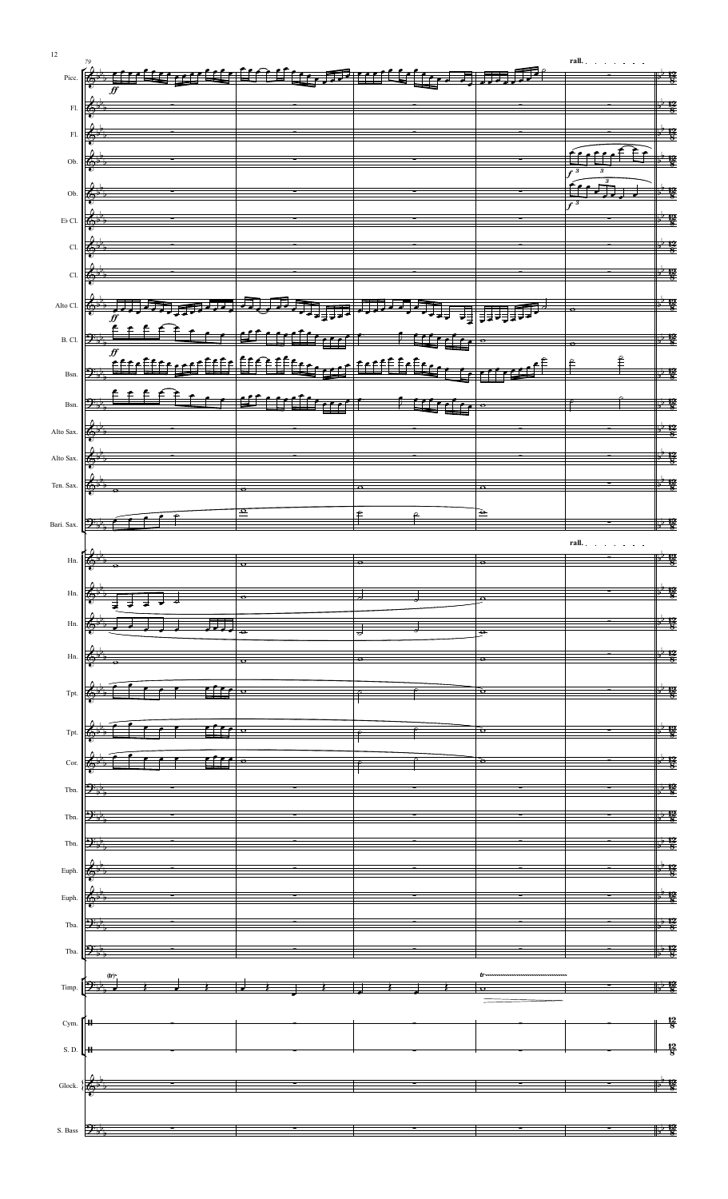|                                                                                                               | Pion ( <mark>1975) and the second their planet for the second the first computation of the second party of the second party of the second second second second second second second second second second second second second second</mark>                                                                                       |                 |  |              |                                                                              |                              |                              |
|---------------------------------------------------------------------------------------------------------------|-----------------------------------------------------------------------------------------------------------------------------------------------------------------------------------------------------------------------------------------------------------------------------------------------------------------------------------|-----------------|--|--------------|------------------------------------------------------------------------------|------------------------------|------------------------------|
|                                                                                                               |                                                                                                                                                                                                                                                                                                                                   |                 |  |              |                                                                              |                              |                              |
| Fl. $6b$                                                                                                      |                                                                                                                                                                                                                                                                                                                                   |                 |  |              |                                                                              |                              | ⊉ ‼ह                         |
| $6^{\frac{1}{2}}$                                                                                             |                                                                                                                                                                                                                                                                                                                                   |                 |  |              |                                                                              |                              |                              |
|                                                                                                               |                                                                                                                                                                                                                                                                                                                                   |                 |  |              |                                                                              |                              |                              |
| $0b$ $6b$                                                                                                     |                                                                                                                                                                                                                                                                                                                                   |                 |  |              |                                                                              | $\left( \frac{1}{1} \right)$ |                              |
|                                                                                                               | Ob. $\left(\frac{1}{2}, \frac{1}{2}\right)$                                                                                                                                                                                                                                                                                       |                 |  |              | $\begin{array}{c} \begin{array}{c} \begin{array}{c} \end{array} \end{array}$ |                              | $\frac{1}{2}$ $\frac{12}{8}$ |
|                                                                                                               |                                                                                                                                                                                                                                                                                                                                   |                 |  |              |                                                                              |                              |                              |
| $E \triangleright$ Cl. $\left\{ \begin{array}{ccc} 1 & 1 \\ 0 & 1 \end{array} \right\}$                       |                                                                                                                                                                                                                                                                                                                                   |                 |  |              |                                                                              |                              |                              |
|                                                                                                               | $CL$ $\left(\begin{array}{ccc}\n\end{array}\right)$                                                                                                                                                                                                                                                                               |                 |  |              |                                                                              |                              | $\frac{1}{2}$ $\frac{12}{8}$ |
|                                                                                                               |                                                                                                                                                                                                                                                                                                                                   |                 |  |              |                                                                              |                              |                              |
|                                                                                                               | Cl. $\left\langle \left\langle \cdot \right\rangle \right\rangle$                                                                                                                                                                                                                                                                 |                 |  |              |                                                                              |                              |                              |
|                                                                                                               |                                                                                                                                                                                                                                                                                                                                   |                 |  |              |                                                                              |                              | $\frac{1}{8}$                |
|                                                                                                               |                                                                                                                                                                                                                                                                                                                                   |                 |  |              |                                                                              |                              |                              |
|                                                                                                               | B.C. <b>Profit for the contract of the contract of the contract of the contract of the contract of the contract of the contract of the contract of the contract of the contract of the contract of the contract of the contract </b>                                                                                              |                 |  |              |                                                                              |                              | $\frac{12}{8}$               |
|                                                                                                               |                                                                                                                                                                                                                                                                                                                                   |                 |  |              |                                                                              |                              |                              |
|                                                                                                               | RAN <b>1975, <u>Ellir Ellir eri</u> Ellir Ellir Ellir Ellir Ellir Ellir ell</b> ir ellir ellir <sup>elli</sup> r ellir ellir ellir ellir ellir ellir ellir ellir ellir ellir ellir ellir ellir ellir ellir ellir ellir ellir ellir ellir ellir elli                                                                               |                 |  |              |                                                                              |                              | $\frac{1}{2}$                |
|                                                                                                               | <b>BSD</b> <u>Part of Former production of the product</u> ion of the second party of the second party of the second party of the second party of the second party of the second party of the second party of the second party of the sec                                                                                         |                 |  |              |                                                                              |                              |                              |
|                                                                                                               |                                                                                                                                                                                                                                                                                                                                   |                 |  |              |                                                                              |                              | $\frac{1}{2}$ $\frac{12}{8}$ |
| Alto Sax. $\left\lfloor \frac{b}{2} \right\rfloor$                                                            |                                                                                                                                                                                                                                                                                                                                   |                 |  |              |                                                                              |                              |                              |
|                                                                                                               |                                                                                                                                                                                                                                                                                                                                   |                 |  |              |                                                                              |                              |                              |
| Alto Sax. $\left(\begin{array}{cc} \rightarrow & \rightarrow \\ \rightarrow & \rightarrow \end{array}\right)$ |                                                                                                                                                                                                                                                                                                                                   |                 |  |              |                                                                              |                              | $\frac{1}{2}$ 12             |
|                                                                                                               | Ten. Sax. $\left(\frac{1}{2}\right)^2$                                                                                                                                                                                                                                                                                            |                 |  |              |                                                                              |                              | $\frac{1}{2}$                |
|                                                                                                               |                                                                                                                                                                                                                                                                                                                                   |                 |  |              |                                                                              |                              |                              |
| Bari. Sax. $9_5$                                                                                              |                                                                                                                                                                                                                                                                                                                                   |                 |  |              |                                                                              |                              | $\frac{1}{2}$ $\frac{12}{8}$ |
|                                                                                                               |                                                                                                                                                                                                                                                                                                                                   |                 |  |              | rall.                                                                        |                              |                              |
| $\frac{1}{2}$ Hn.                                                                                             |                                                                                                                                                                                                                                                                                                                                   |                 |  |              |                                                                              |                              |                              |
|                                                                                                               |                                                                                                                                                                                                                                                                                                                                   |                 |  |              |                                                                              |                              |                              |
| $\frac{Hn}{\frac{1}{2}}$                                                                                      | $\frac{1}{2}$                                                                                                                                                                                                                                                                                                                     |                 |  |              |                                                                              |                              | $\frac{1}{8}$                |
|                                                                                                               |                                                                                                                                                                                                                                                                                                                                   |                 |  |              |                                                                              |                              |                              |
|                                                                                                               | $\overline{\phantom{a}}$                                                                                                                                                                                                                                                                                                          |                 |  |              |                                                                              |                              |                              |
| $\frac{1}{2}$ Hn.                                                                                             | $\overline{\phantom{a}}$                                                                                                                                                                                                                                                                                                          |                 |  |              |                                                                              |                              | $\frac{1}{2}$                |
|                                                                                                               |                                                                                                                                                                                                                                                                                                                                   |                 |  |              |                                                                              |                              |                              |
|                                                                                                               | $T_{\text{PL}}$ $\left  \frac{d^2y}{dx^2y^2} \right $ $\left  \frac{dy}{dx} \right $ $\left  \frac{dy}{dx} \right $ $\left  \frac{dy}{dx} \right $ $\left  \frac{dy}{dx} \right $                                                                                                                                                 | $\boxed{\circ}$ |  | $\mathbf{r}$ |                                                                              |                              | <del>⊉ 18</del>              |
|                                                                                                               |                                                                                                                                                                                                                                                                                                                                   |                 |  |              |                                                                              |                              |                              |
|                                                                                                               |                                                                                                                                                                                                                                                                                                                                   | $ \rho $        |  | $\mathbf{p}$ |                                                                              |                              | $\frac{1}{2}$                |
|                                                                                                               |                                                                                                                                                                                                                                                                                                                                   |                 |  |              |                                                                              |                              |                              |
| $\frac{1}{2}$ Cor.                                                                                            | $\left( \begin{array}{cccc} 0 & 0 & 0 & 0 & 0 \\ 0 & 0 & 0 & 0 & 0 \\ 0 & 0 & 0 & 0 & 0 \\ 0 & 0 & 0 & 0 & 0 \\ 0 & 0 & 0 & 0 & 0 \\ 0 & 0 & 0 & 0 & 0 \\ 0 & 0 & 0 & 0 & 0 \\ 0 & 0 & 0 & 0 & 0 \\ 0 & 0 & 0 & 0 & 0 \\ 0 & 0 & 0 & 0 & 0 \\ 0 & 0 & 0 & 0 & 0 \\ 0 & 0 & 0 & 0 & 0 \\ 0 & 0 & 0 & 0 & 0 \\ 0 & 0 & 0 & 0 & 0 &$ |                 |  |              |                                                                              |                              | $\frac{1}{2}$                |
| ソー                                                                                                            |                                                                                                                                                                                                                                                                                                                                   |                 |  |              |                                                                              |                              | $\frac{1}{2}$ $\frac{12}{8}$ |
|                                                                                                               |                                                                                                                                                                                                                                                                                                                                   |                 |  |              |                                                                              |                              |                              |
|                                                                                                               |                                                                                                                                                                                                                                                                                                                                   |                 |  |              |                                                                              |                              | $\frac{1}{2}$                |
|                                                                                                               |                                                                                                                                                                                                                                                                                                                                   |                 |  |              |                                                                              |                              | $\frac{1}{2}$ $\frac{12}{8}$ |
|                                                                                                               |                                                                                                                                                                                                                                                                                                                                   |                 |  |              |                                                                              |                              |                              |
| $6^{\frac{1}{2}}$                                                                                             |                                                                                                                                                                                                                                                                                                                                   |                 |  |              |                                                                              |                              | $\frac{1}{2}$ $\frac{12}{8}$ |
|                                                                                                               |                                                                                                                                                                                                                                                                                                                                   |                 |  |              |                                                                              |                              | $\frac{1}{2}$                |
|                                                                                                               |                                                                                                                                                                                                                                                                                                                                   |                 |  |              |                                                                              |                              |                              |
|                                                                                                               |                                                                                                                                                                                                                                                                                                                                   |                 |  |              |                                                                              |                              | $\frac{1}{2}$ $\frac{12}{8}$ |
| $\mathcal{P}$                                                                                                 |                                                                                                                                                                                                                                                                                                                                   |                 |  |              |                                                                              |                              | $\frac{1}{2}$ $\frac{12}{8}$ |
|                                                                                                               |                                                                                                                                                                                                                                                                                                                                   |                 |  |              |                                                                              |                              |                              |
|                                                                                                               |                                                                                                                                                                                                                                                                                                                                   |                 |  |              |                                                                              |                              | $\mathbb{P} \,$ 12           |
|                                                                                                               |                                                                                                                                                                                                                                                                                                                                   |                 |  |              |                                                                              |                              |                              |
| Cym. $\left  \right $                                                                                         |                                                                                                                                                                                                                                                                                                                                   |                 |  |              |                                                                              |                              | $\frac{12}{8}$               |
|                                                                                                               |                                                                                                                                                                                                                                                                                                                                   |                 |  |              |                                                                              |                              |                              |
| S.D.                                                                                                          |                                                                                                                                                                                                                                                                                                                                   |                 |  |              |                                                                              |                              | $\frac{12}{8}$               |
|                                                                                                               |                                                                                                                                                                                                                                                                                                                                   |                 |  |              |                                                                              |                              |                              |
| Glock. 25                                                                                                     |                                                                                                                                                                                                                                                                                                                                   |                 |  |              |                                                                              |                              | $\frac{1}{2}$                |
|                                                                                                               |                                                                                                                                                                                                                                                                                                                                   |                 |  |              |                                                                              |                              |                              |
| S. Bass $\frac{1}{2}$                                                                                         |                                                                                                                                                                                                                                                                                                                                   |                 |  |              |                                                                              |                              | $\mathbb{P}^{12}_{8}$        |
|                                                                                                               |                                                                                                                                                                                                                                                                                                                                   |                 |  |              |                                                                              |                              |                              |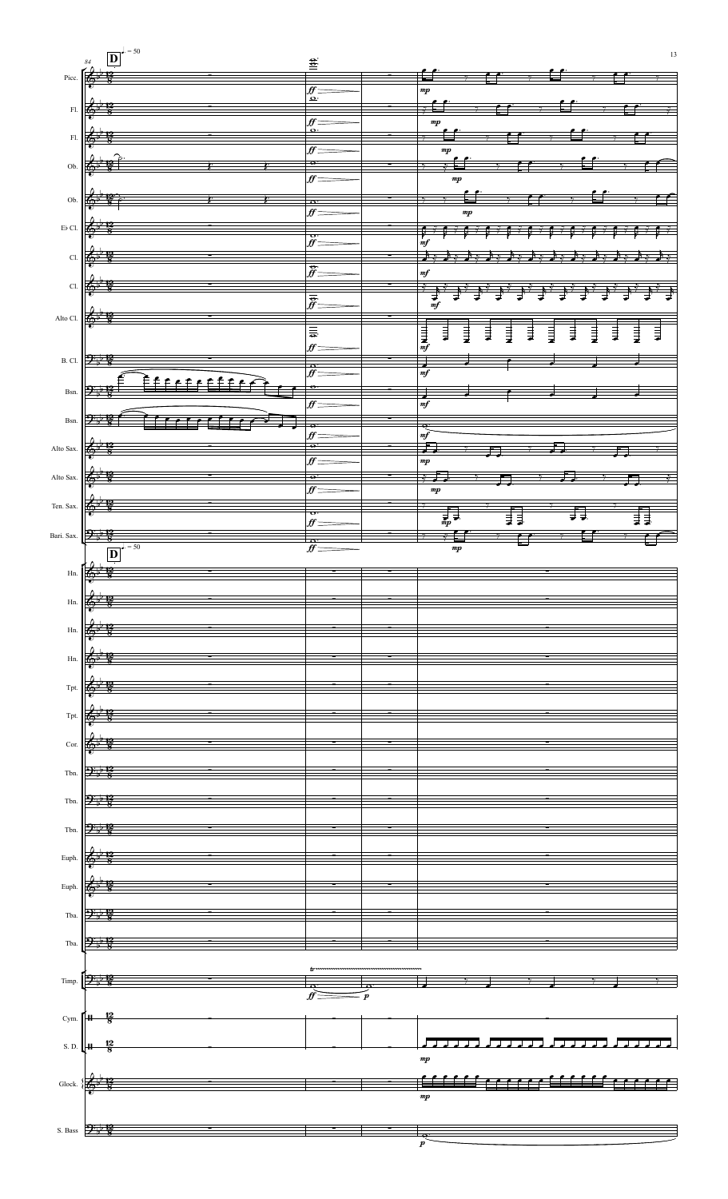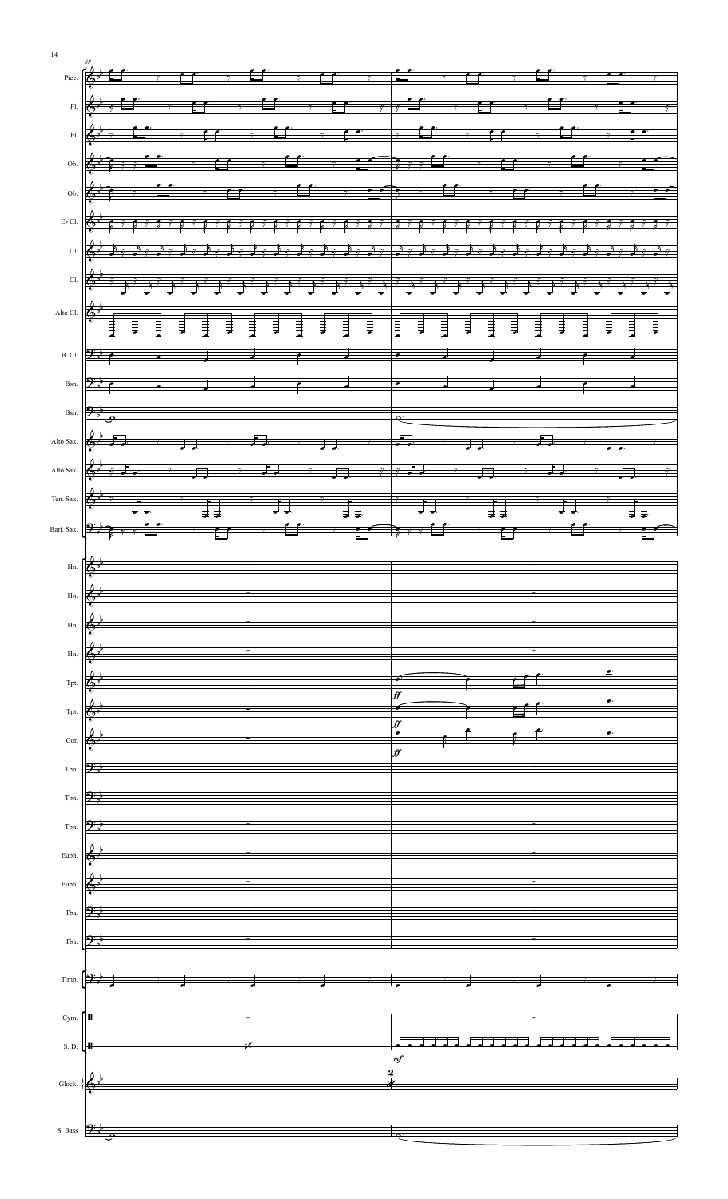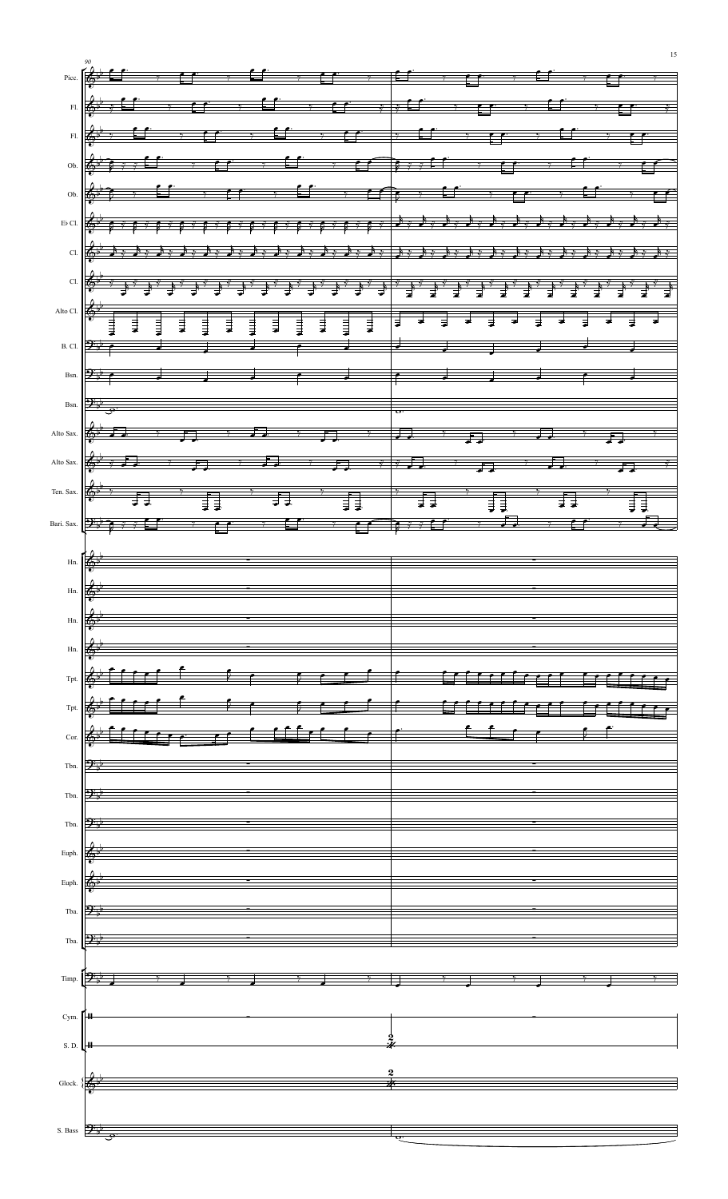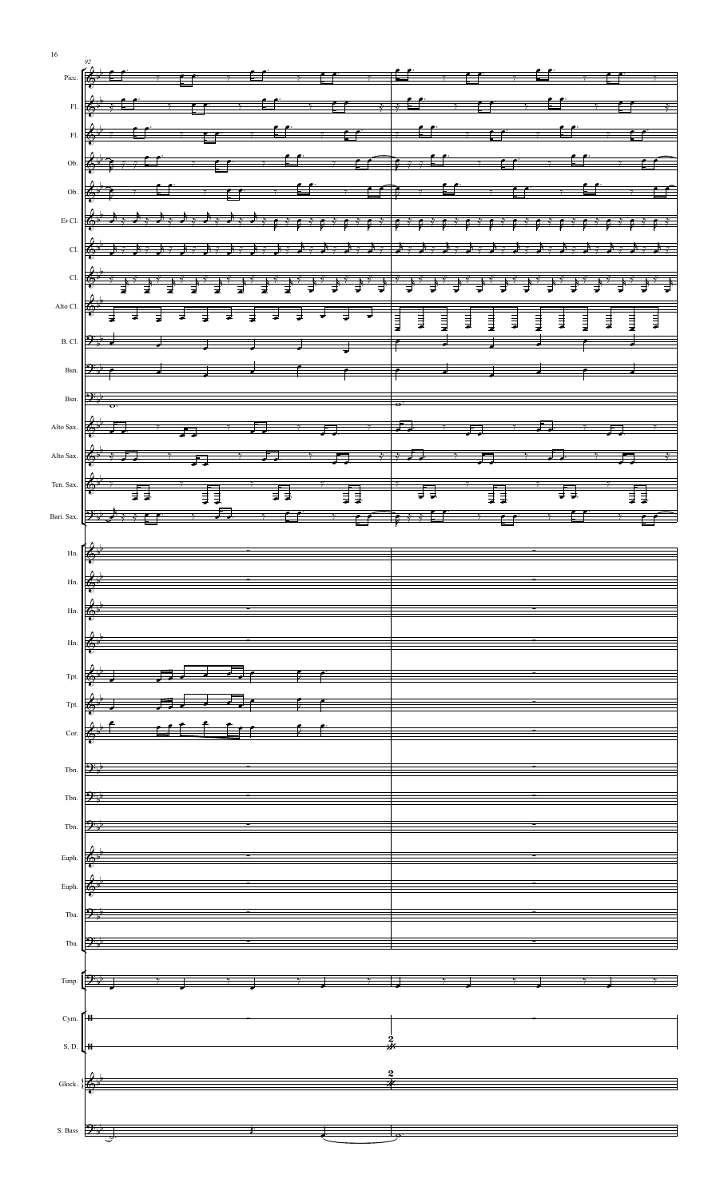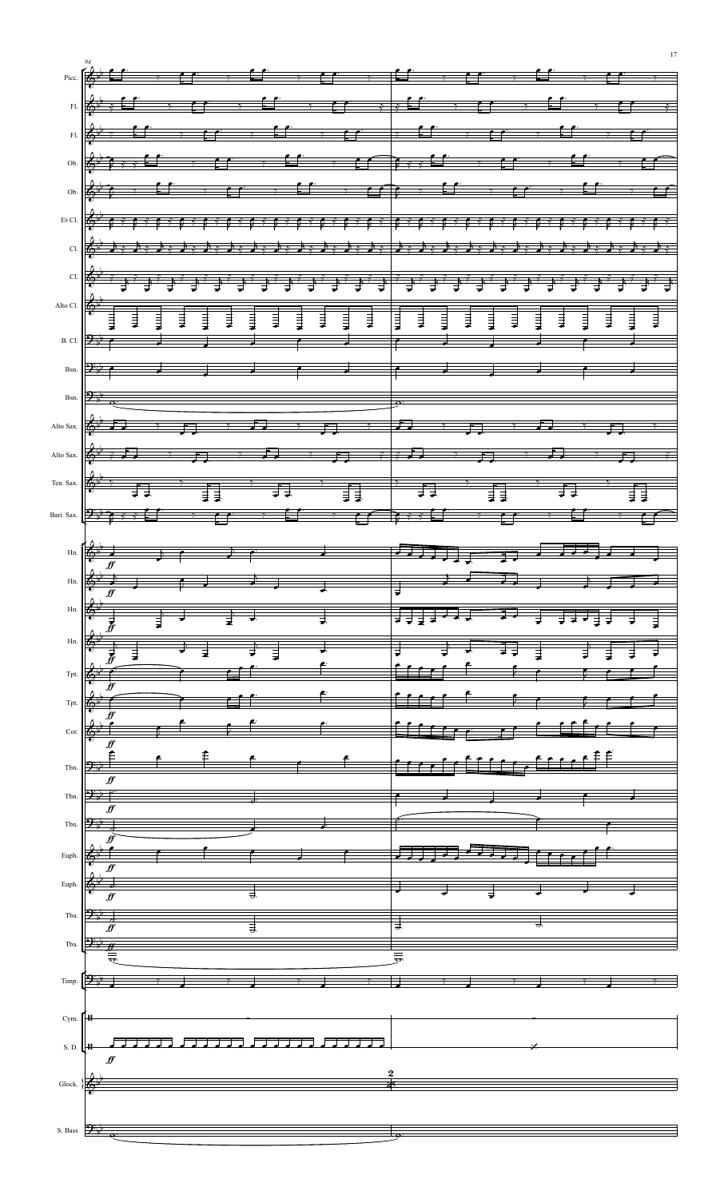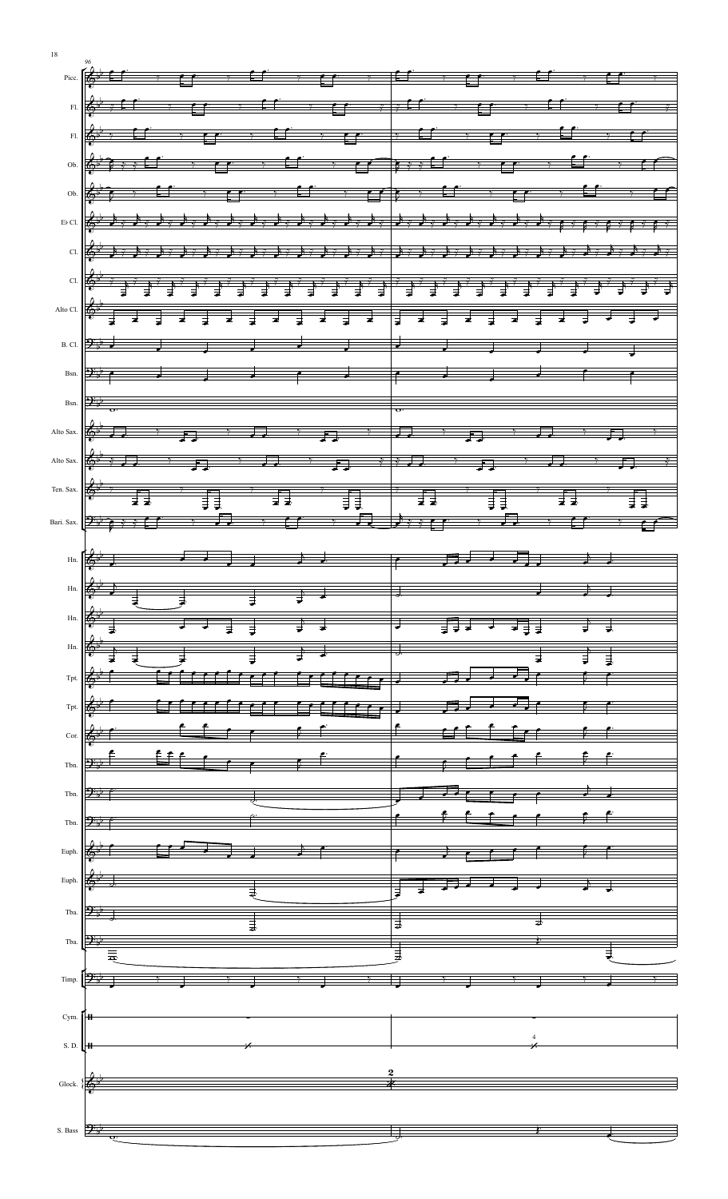|                              | FI. $\frac{1}{\sqrt{2}}$ , and the set of $\frac{1}{\sqrt{2}}$ , and $\frac{1}{\sqrt{2}}$ , and $\frac{1}{\sqrt{2}}$ , $\frac{1}{\sqrt{2}}$ , $\frac{1}{\sqrt{2}}$ , $\frac{1}{\sqrt{2}}$ , $\frac{1}{\sqrt{2}}$ , $\frac{1}{\sqrt{2}}$ , $\frac{1}{\sqrt{2}}$ , $\frac{1}{\sqrt{2}}$                                                                                                                                                                                                                                                                                                                                                            |                                                                               |  |                               |  |  |
|------------------------------|--------------------------------------------------------------------------------------------------------------------------------------------------------------------------------------------------------------------------------------------------------------------------------------------------------------------------------------------------------------------------------------------------------------------------------------------------------------------------------------------------------------------------------------------------------------------------------------------------------------------------------------------------|-------------------------------------------------------------------------------|--|-------------------------------|--|--|
|                              | $\frac{1}{2}$ (b) $\frac{1}{2}$ (c) $\frac{1}{2}$ (c) $\frac{1}{2}$ (c) $\frac{1}{2}$ (c) $\frac{1}{2}$ (c) $\frac{1}{2}$ (c) $\frac{1}{2}$ (c) $\frac{1}{2}$ (c) $\frac{1}{2}$ (c) $\frac{1}{2}$ (c) $\frac{1}{2}$ (c) $\frac{1}{2}$ (c) $\frac{1}{2}$ (c) $\frac{1}{2}$ (c) $\frac{1}{2}$ (                                                                                                                                                                                                                                                                                                                                                    |                                                                               |  |                               |  |  |
|                              |                                                                                                                                                                                                                                                                                                                                                                                                                                                                                                                                                                                                                                                  |                                                                               |  |                               |  |  |
|                              |                                                                                                                                                                                                                                                                                                                                                                                                                                                                                                                                                                                                                                                  |                                                                               |  |                               |  |  |
|                              |                                                                                                                                                                                                                                                                                                                                                                                                                                                                                                                                                                                                                                                  |                                                                               |  |                               |  |  |
|                              |                                                                                                                                                                                                                                                                                                                                                                                                                                                                                                                                                                                                                                                  |                                                                               |  |                               |  |  |
|                              |                                                                                                                                                                                                                                                                                                                                                                                                                                                                                                                                                                                                                                                  |                                                                               |  |                               |  |  |
|                              |                                                                                                                                                                                                                                                                                                                                                                                                                                                                                                                                                                                                                                                  |                                                                               |  |                               |  |  |
|                              | Bsn. $\frac{1}{2}$ by the contract of the contract of the contract of the contract of the contract of the contract of the contract of the contract of the contract of the contract of the contract of the contract of the contrac                                                                                                                                                                                                                                                                                                                                                                                                                |                                                                               |  |                               |  |  |
|                              | Bsn. $\mathbf{P}_{\mathbf{p}}$                                                                                                                                                                                                                                                                                                                                                                                                                                                                                                                                                                                                                   |                                                                               |  |                               |  |  |
|                              | Alto Sax. <b>(1) 1984 - 1986 - 1987 - 1988 - 1989 - 1989 - 1989 - 1997 - 1998 - 1998 - 1998 - 1999 - 1999 - 1999 - 199</b><br>Alto Sax. <b>(1) 1999 - 1999 - 1999 - 1999 - 1999 - 1999 - 1999 - 1999 - 1999 - 1999 - 1999 - 1999 - 1999 </b>                                                                                                                                                                                                                                                                                                                                                                                                     |                                                                               |  |                               |  |  |
|                              |                                                                                                                                                                                                                                                                                                                                                                                                                                                                                                                                                                                                                                                  |                                                                               |  |                               |  |  |
|                              |                                                                                                                                                                                                                                                                                                                                                                                                                                                                                                                                                                                                                                                  |                                                                               |  |                               |  |  |
|                              | Bari. Sax. $\boxed{ \frac{\sum_i b_i}{b_i} \frac{\partial}{\partial x_i} \frac{\partial}{\partial y_i} \frac{\partial}{\partial z_i} + \frac{\partial}{\partial y_i} \frac{\partial}{\partial z_i} + \frac{\partial}{\partial z_i} \frac{\partial}{\partial z_i} + \frac{\partial}{\partial z_i} \frac{\partial}{\partial z_i} + \frac{\partial}{\partial z_i} \frac{\partial}{\partial z_i} + \frac{\partial}{\partial z_i} \frac{\partial}{\partial z_i} + \frac{\partial}{\partial z_i} \frac{\partial}{\partial z_i} + \frac{\partial}{\partial z_i} \frac{\partial}{\partial z_i} + \frac{\partial}{\partial z_i} \frac{\partial}{\partial$ |                                                                               |  |                               |  |  |
| $\lim_{h \to 0}$             |                                                                                                                                                                                                                                                                                                                                                                                                                                                                                                                                                                                                                                                  |                                                                               |  |                               |  |  |
|                              |                                                                                                                                                                                                                                                                                                                                                                                                                                                                                                                                                                                                                                                  |                                                                               |  |                               |  |  |
|                              |                                                                                                                                                                                                                                                                                                                                                                                                                                                                                                                                                                                                                                                  | $\Rightarrow$<br>$\Rightarrow$                                                |  | <del>। ਪਰ ਕੁਝ ਦਾ ਸਮੂਹ ਸ</del> |  |  |
|                              |                                                                                                                                                                                                                                                                                                                                                                                                                                                                                                                                                                                                                                                  |                                                                               |  |                               |  |  |
|                              |                                                                                                                                                                                                                                                                                                                                                                                                                                                                                                                                                                                                                                                  |                                                                               |  |                               |  |  |
|                              |                                                                                                                                                                                                                                                                                                                                                                                                                                                                                                                                                                                                                                                  |                                                                               |  |                               |  |  |
|                              |                                                                                                                                                                                                                                                                                                                                                                                                                                                                                                                                                                                                                                                  |                                                                               |  |                               |  |  |
|                              |                                                                                                                                                                                                                                                                                                                                                                                                                                                                                                                                                                                                                                                  | $\begin{array}{c} \begin{array}{c} \bullet \\ \hline \end{array} \end{array}$ |  |                               |  |  |
| Tbn.                         |                                                                                                                                                                                                                                                                                                                                                                                                                                                                                                                                                                                                                                                  |                                                                               |  |                               |  |  |
| Tbn.                         |                                                                                                                                                                                                                                                                                                                                                                                                                                                                                                                                                                                                                                                  |                                                                               |  |                               |  |  |
| Euph.                        |                                                                                                                                                                                                                                                                                                                                                                                                                                                                                                                                                                                                                                                  |                                                                               |  |                               |  |  |
| ${\hbox{\rm Euph}}.$         |                                                                                                                                                                                                                                                                                                                                                                                                                                                                                                                                                                                                                                                  |                                                                               |  |                               |  |  |
| Tba.                         |                                                                                                                                                                                                                                                                                                                                                                                                                                                                                                                                                                                                                                                  |                                                                               |  |                               |  |  |
| Tba.                         |                                                                                                                                                                                                                                                                                                                                                                                                                                                                                                                                                                                                                                                  |                                                                               |  |                               |  |  |
| Timp.                        |                                                                                                                                                                                                                                                                                                                                                                                                                                                                                                                                                                                                                                                  |                                                                               |  |                               |  |  |
|                              |                                                                                                                                                                                                                                                                                                                                                                                                                                                                                                                                                                                                                                                  |                                                                               |  |                               |  |  |
| Cym.                         |                                                                                                                                                                                                                                                                                                                                                                                                                                                                                                                                                                                                                                                  |                                                                               |  |                               |  |  |
| S. D. ¶ <del>H</del>         |                                                                                                                                                                                                                                                                                                                                                                                                                                                                                                                                                                                                                                                  |                                                                               |  |                               |  |  |
| Glock. $\sqrt{\frac{1}{10}}$ |                                                                                                                                                                                                                                                                                                                                                                                                                                                                                                                                                                                                                                                  |                                                                               |  |                               |  |  |
|                              |                                                                                                                                                                                                                                                                                                                                                                                                                                                                                                                                                                                                                                                  |                                                                               |  |                               |  |  |
| S. Bass $\frac{1}{2}$        |                                                                                                                                                                                                                                                                                                                                                                                                                                                                                                                                                                                                                                                  |                                                                               |  |                               |  |  |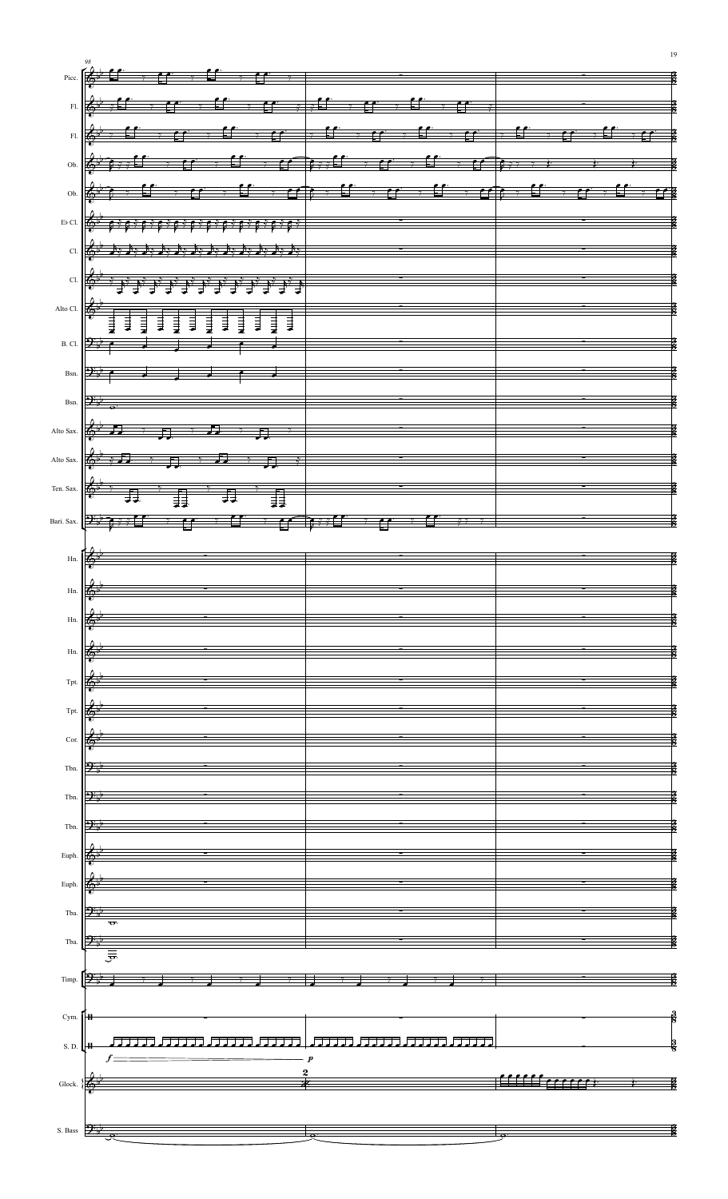|                                                                                                                                                                                                                                                                                                                        | Pice $6^{\frac{1}{2}}$ $1^{\frac{1}{2}}$ $1^{\frac{1}{2}}$ $1^{\frac{1}{2}}$ $1^{\frac{1}{2}}$ $1^{\frac{1}{2}}$ $1^{\frac{1}{2}}$ $1^{\frac{1}{2}}$ $1^{\frac{1}{2}}$ $1^{\frac{1}{2}}$ $1^{\frac{1}{2}}$ $1^{\frac{1}{2}}$ $1^{\frac{1}{2}}$ $1^{\frac{1}{2}}$ $1^{\frac{1}{2}}$ $1^{\frac{1}{2}}$ $1^{\frac{1}{2}}$ $1^{\frac{1}{2}}$                                                                                                                                                                                                                                               |                         |                                                                                                                                                                                                                                                                                                                                      |               |
|------------------------------------------------------------------------------------------------------------------------------------------------------------------------------------------------------------------------------------------------------------------------------------------------------------------------|----------------------------------------------------------------------------------------------------------------------------------------------------------------------------------------------------------------------------------------------------------------------------------------------------------------------------------------------------------------------------------------------------------------------------------------------------------------------------------------------------------------------------------------------------------------------------------------|-------------------------|--------------------------------------------------------------------------------------------------------------------------------------------------------------------------------------------------------------------------------------------------------------------------------------------------------------------------------------|---------------|
|                                                                                                                                                                                                                                                                                                                        | $\mathbb{E} \left[ \left  \frac{\mathcal{L}_{\mathcal{G}}}{\mathcal{L}_{\mathcal{G}}} \frac{\partial}{\partial \tau} \frac{\partial}{\partial \tau} \mathbf{L}_{\mathcal{G}} \right  \rightarrow \left  \mathbf{L}_{\mathcal{G}} \right  \rightarrow \left  \mathbf{L}_{\mathcal{G}} \right  \rightarrow \left  \mathbf{L}_{\mathcal{G}} \right  \rightarrow \left  \mathbf{L}_{\mathcal{G}} \right  \rightarrow \left  \mathbf{L}_{\mathcal{G}} \right  \rightarrow \left  \mathbf{L}_{\mathcal{G}} \right  \rightarrow \left  \mathbf{L}_{\mathcal{G}} \right  \rightarrow \left  \$ |                         |                                                                                                                                                                                                                                                                                                                                      |               |
|                                                                                                                                                                                                                                                                                                                        |                                                                                                                                                                                                                                                                                                                                                                                                                                                                                                                                                                                        |                         | $\mathbb{P}^1$ $\left[\frac{d^3}{d^3}+\frac{d^2}{d^2}-\frac{d^2}{d^2}-\frac{d^2}{d^2}-\frac{d^2}{d^2}-\frac{d^2}{d^2}-\frac{d^2}{d^2}-\frac{d^2}{d^2}-\frac{d^2}{d^2}-\frac{d^2}{d^2}-\frac{d^2}{d^2}-\frac{d^2}{d^2}-\frac{d^2}{d^2}-\frac{d^2}{d^2}-\frac{d^2}{d^2}-\frac{d^2}{d^2}-\frac{d^2}{d^2}-\frac{d^2}{d^2}-\frac{d^2}{d^$ |               |
|                                                                                                                                                                                                                                                                                                                        | $\frac{1}{2}$ $\frac{1}{2}$ $\frac{1}{2}$ $\frac{1}{2}$ $\frac{1}{2}$ $\frac{1}{2}$ $\frac{1}{2}$ $\frac{1}{2}$ $\frac{1}{2}$ $\frac{1}{2}$ $\frac{1}{2}$ $\frac{1}{2}$ $\frac{1}{2}$ $\frac{1}{2}$ $\frac{1}{2}$ $\frac{1}{2}$ $\frac{1}{2}$ $\frac{1}{2}$ $\frac{1}{2}$ $\frac{1}{2}$ $\frac{1}{2}$ $\frac{1}{2}$                                                                                                                                                                                                                                                                    |                         |                                                                                                                                                                                                                                                                                                                                      |               |
|                                                                                                                                                                                                                                                                                                                        |                                                                                                                                                                                                                                                                                                                                                                                                                                                                                                                                                                                        |                         |                                                                                                                                                                                                                                                                                                                                      |               |
|                                                                                                                                                                                                                                                                                                                        | $E_{\rm b}$ Cl. $\left  \left  \frac{d^2 p^2}{d^2 p^2} \frac{\partial^2 p^2}{\partial p^2} \frac{\partial^2 p^2}{\partial p^2} \frac{\partial^2 p^2}{\partial p^2} \frac{\partial^2 p^2}{\partial p^2} \frac{\partial^2 p^2}{\partial p^2} \frac{\partial^2 p^2}{\partial p^2} \frac{\partial^2 p^2}{\partial p^2} \right ^2 \right $                                                                                                                                                                                                                                                  |                         |                                                                                                                                                                                                                                                                                                                                      |               |
|                                                                                                                                                                                                                                                                                                                        | Cl. (4) By By By By By By By By By By By                                                                                                                                                                                                                                                                                                                                                                                                                                                                                                                                               |                         |                                                                                                                                                                                                                                                                                                                                      |               |
|                                                                                                                                                                                                                                                                                                                        | CL <del>@ * * \$* \$* \$* \$* \$* \$* \$* \$* \$* \$</del>                                                                                                                                                                                                                                                                                                                                                                                                                                                                                                                             |                         |                                                                                                                                                                                                                                                                                                                                      |               |
|                                                                                                                                                                                                                                                                                                                        | Alto Cl. $\begin{array}{ c c c c c }\hline \text{A} & \text{A} & \text{B} & \text{B} & \text{C} \\ \hline \end{array}$                                                                                                                                                                                                                                                                                                                                                                                                                                                                 |                         |                                                                                                                                                                                                                                                                                                                                      |               |
|                                                                                                                                                                                                                                                                                                                        | B. Cl. $\boxed{2}$ $\boxed{}$ $\boxed{}$ $\boxed{}$ $\boxed{}$ $\boxed{}$ $\boxed{}$ $\boxed{}$ $\boxed{}$ $\boxed{}$ $\boxed{}$ $\boxed{}$ $\boxed{}$ $\boxed{}$ $\boxed{}$ $\boxed{}$ $\boxed{}$ $\boxed{}$ $\boxed{}$ $\boxed{}$ $\boxed{}$ $\boxed{}$ $\boxed{}$ $\boxed{}$ $\boxed{}$ $\boxed{}$ $\boxed{}$ $\boxed{}$ $\boxed{}$ $\boxed{}$ $\boxed$                                                                                                                                                                                                                             |                         |                                                                                                                                                                                                                                                                                                                                      |               |
| Bsn. $\frac{1}{2}$ $\frac{1}{2}$ $\frac{1}{2}$ $\frac{1}{2}$ $\frac{1}{2}$ $\frac{1}{2}$ $\frac{1}{2}$ $\frac{1}{2}$ $\frac{1}{2}$ $\frac{1}{2}$ $\frac{1}{2}$ $\frac{1}{2}$ $\frac{1}{2}$ $\frac{1}{2}$ $\frac{1}{2}$ $\frac{1}{2}$ $\frac{1}{2}$ $\frac{1}{2}$ $\frac{1}{2}$ $\frac{1}{2}$ $\frac{1}{2}$ $\frac{1}{$ |                                                                                                                                                                                                                                                                                                                                                                                                                                                                                                                                                                                        |                         |                                                                                                                                                                                                                                                                                                                                      |               |
| Bsn. $\left  \frac{9}{2} \right $ $\frac{3}{2}$                                                                                                                                                                                                                                                                        |                                                                                                                                                                                                                                                                                                                                                                                                                                                                                                                                                                                        |                         |                                                                                                                                                                                                                                                                                                                                      |               |
|                                                                                                                                                                                                                                                                                                                        | Alto Sax. $\left(\frac{1}{2}\right)^{\frac{1}{2}}$ $\left(\frac{1}{2}\right)^{\frac{1}{2}}$ $\left(\frac{1}{2}\right)^{\frac{1}{2}}$ $\left(\frac{1}{2}\right)^{\frac{1}{2}}$ $\left(\frac{1}{2}\right)^{\frac{1}{2}}$ $\left(\frac{1}{2}\right)^{\frac{1}{2}}$                                                                                                                                                                                                                                                                                                                        |                         |                                                                                                                                                                                                                                                                                                                                      |               |
| Alto Sax. $\left[\begin{array}{ccc} \bullet & \bullet & \bullet & \bullet \end{array}\right]$                                                                                                                                                                                                                          | $\overline{z}$ , $\overline{z}$ , $\overline{z}$ , $\overline{z}$ , $\overline{z}$                                                                                                                                                                                                                                                                                                                                                                                                                                                                                                     |                         |                                                                                                                                                                                                                                                                                                                                      |               |
|                                                                                                                                                                                                                                                                                                                        | Ten. Sax. $\begin{array}{ c c c c c c }\n\hline\n\text{F} & \text{F} & \text{F} & \text{F} & \text{F} & \text{F} \\ \hline\n\text{F} & \text{F} & \text{F} & \text{F} & \text{F} & \text{F} \\ \hline\n\end{array}$                                                                                                                                                                                                                                                                                                                                                                    |                         |                                                                                                                                                                                                                                                                                                                                      |               |
|                                                                                                                                                                                                                                                                                                                        | Bari, Sax, $\frac{1}{2}$ , $\frac{1}{2}$ , $\frac{1}{2}$ , $\frac{1}{2}$ , $\frac{1}{2}$ , $\frac{1}{2}$ , $\frac{1}{2}$ , $\frac{1}{2}$ , $\frac{1}{2}$ , $\frac{1}{2}$ , $\frac{1}{2}$ , $\frac{1}{2}$ , $\frac{1}{2}$                                                                                                                                                                                                                                                                                                                                                               |                         |                                                                                                                                                                                                                                                                                                                                      | 븅             |
|                                                                                                                                                                                                                                                                                                                        |                                                                                                                                                                                                                                                                                                                                                                                                                                                                                                                                                                                        |                         |                                                                                                                                                                                                                                                                                                                                      |               |
| $\Delta$                                                                                                                                                                                                                                                                                                               |                                                                                                                                                                                                                                                                                                                                                                                                                                                                                                                                                                                        |                         |                                                                                                                                                                                                                                                                                                                                      |               |
|                                                                                                                                                                                                                                                                                                                        |                                                                                                                                                                                                                                                                                                                                                                                                                                                                                                                                                                                        |                         |                                                                                                                                                                                                                                                                                                                                      |               |
|                                                                                                                                                                                                                                                                                                                        |                                                                                                                                                                                                                                                                                                                                                                                                                                                                                                                                                                                        |                         |                                                                                                                                                                                                                                                                                                                                      |               |
|                                                                                                                                                                                                                                                                                                                        |                                                                                                                                                                                                                                                                                                                                                                                                                                                                                                                                                                                        |                         |                                                                                                                                                                                                                                                                                                                                      |               |
|                                                                                                                                                                                                                                                                                                                        |                                                                                                                                                                                                                                                                                                                                                                                                                                                                                                                                                                                        |                         |                                                                                                                                                                                                                                                                                                                                      |               |
|                                                                                                                                                                                                                                                                                                                        |                                                                                                                                                                                                                                                                                                                                                                                                                                                                                                                                                                                        |                         |                                                                                                                                                                                                                                                                                                                                      |               |
| 9.                                                                                                                                                                                                                                                                                                                     |                                                                                                                                                                                                                                                                                                                                                                                                                                                                                                                                                                                        |                         |                                                                                                                                                                                                                                                                                                                                      |               |
| サマ                                                                                                                                                                                                                                                                                                                     |                                                                                                                                                                                                                                                                                                                                                                                                                                                                                                                                                                                        |                         |                                                                                                                                                                                                                                                                                                                                      |               |
|                                                                                                                                                                                                                                                                                                                        |                                                                                                                                                                                                                                                                                                                                                                                                                                                                                                                                                                                        |                         |                                                                                                                                                                                                                                                                                                                                      |               |
|                                                                                                                                                                                                                                                                                                                        |                                                                                                                                                                                                                                                                                                                                                                                                                                                                                                                                                                                        |                         |                                                                                                                                                                                                                                                                                                                                      |               |
|                                                                                                                                                                                                                                                                                                                        |                                                                                                                                                                                                                                                                                                                                                                                                                                                                                                                                                                                        |                         |                                                                                                                                                                                                                                                                                                                                      |               |
| $\mathcal{P}$                                                                                                                                                                                                                                                                                                          |                                                                                                                                                                                                                                                                                                                                                                                                                                                                                                                                                                                        |                         |                                                                                                                                                                                                                                                                                                                                      |               |
| $\mathbb{P}$                                                                                                                                                                                                                                                                                                           |                                                                                                                                                                                                                                                                                                                                                                                                                                                                                                                                                                                        |                         |                                                                                                                                                                                                                                                                                                                                      |               |
| $\overline{\overline{\overline{\overline{v}}}}$ .                                                                                                                                                                                                                                                                      |                                                                                                                                                                                                                                                                                                                                                                                                                                                                                                                                                                                        |                         |                                                                                                                                                                                                                                                                                                                                      |               |
|                                                                                                                                                                                                                                                                                                                        |                                                                                                                                                                                                                                                                                                                                                                                                                                                                                                                                                                                        | S 3                     |                                                                                                                                                                                                                                                                                                                                      |               |
|                                                                                                                                                                                                                                                                                                                        |                                                                                                                                                                                                                                                                                                                                                                                                                                                                                                                                                                                        |                         |                                                                                                                                                                                                                                                                                                                                      | $\frac{3}{8}$ |
| ĨН                                                                                                                                                                                                                                                                                                                     |                                                                                                                                                                                                                                                                                                                                                                                                                                                                                                                                                                                        |                         |                                                                                                                                                                                                                                                                                                                                      |               |
|                                                                                                                                                                                                                                                                                                                        |                                                                                                                                                                                                                                                                                                                                                                                                                                                                                                                                                                                        | $\boldsymbol{p}$        |                                                                                                                                                                                                                                                                                                                                      |               |
| Glock. $\left\{\frac{1}{\sqrt{2}}\right\}$                                                                                                                                                                                                                                                                             |                                                                                                                                                                                                                                                                                                                                                                                                                                                                                                                                                                                        | $\frac{2}{\mathscr{H}}$ |                                                                                                                                                                                                                                                                                                                                      |               |
|                                                                                                                                                                                                                                                                                                                        |                                                                                                                                                                                                                                                                                                                                                                                                                                                                                                                                                                                        |                         |                                                                                                                                                                                                                                                                                                                                      |               |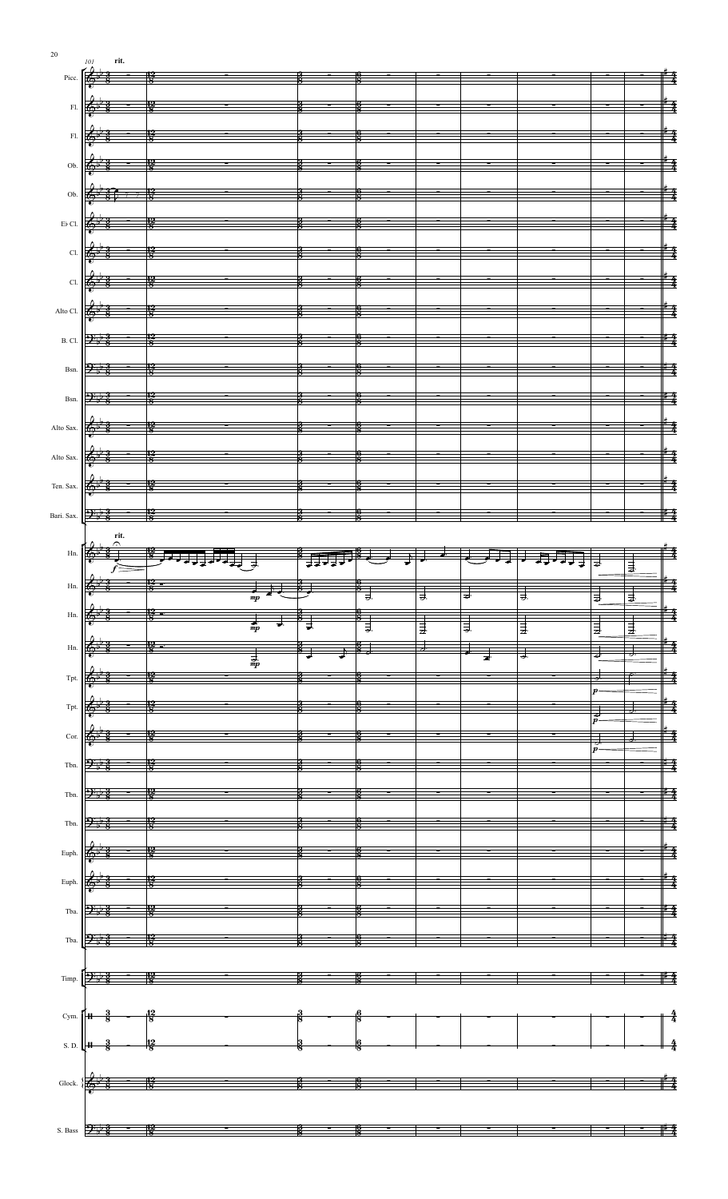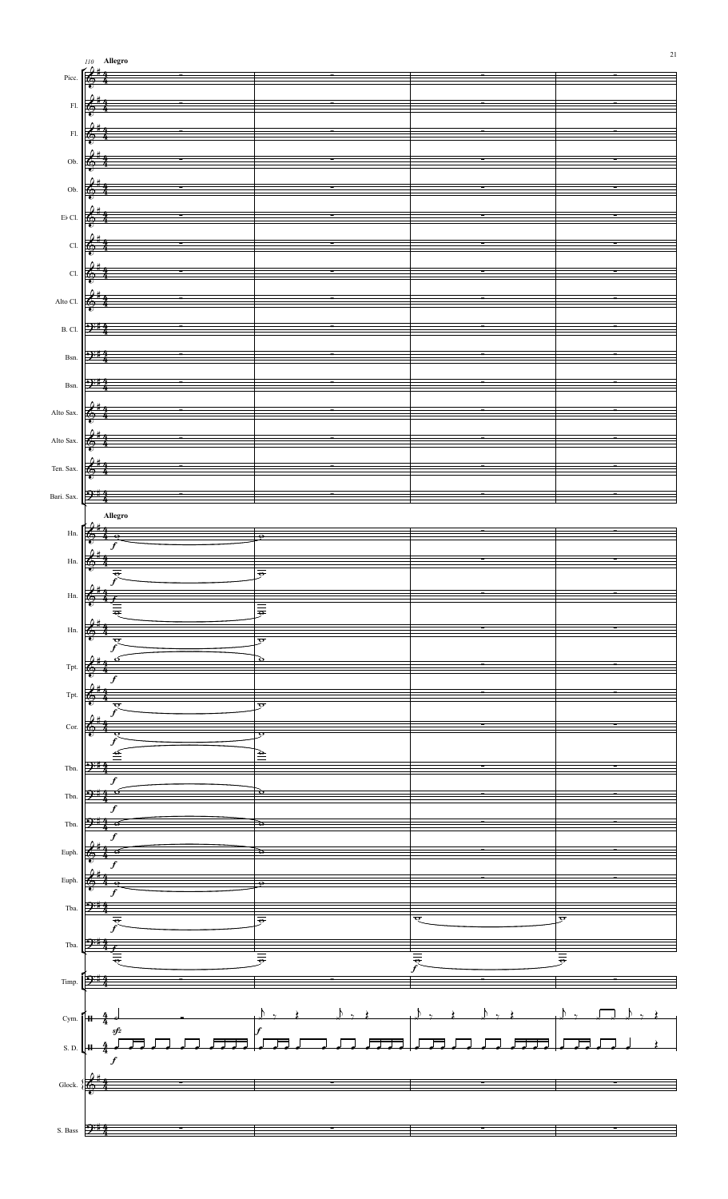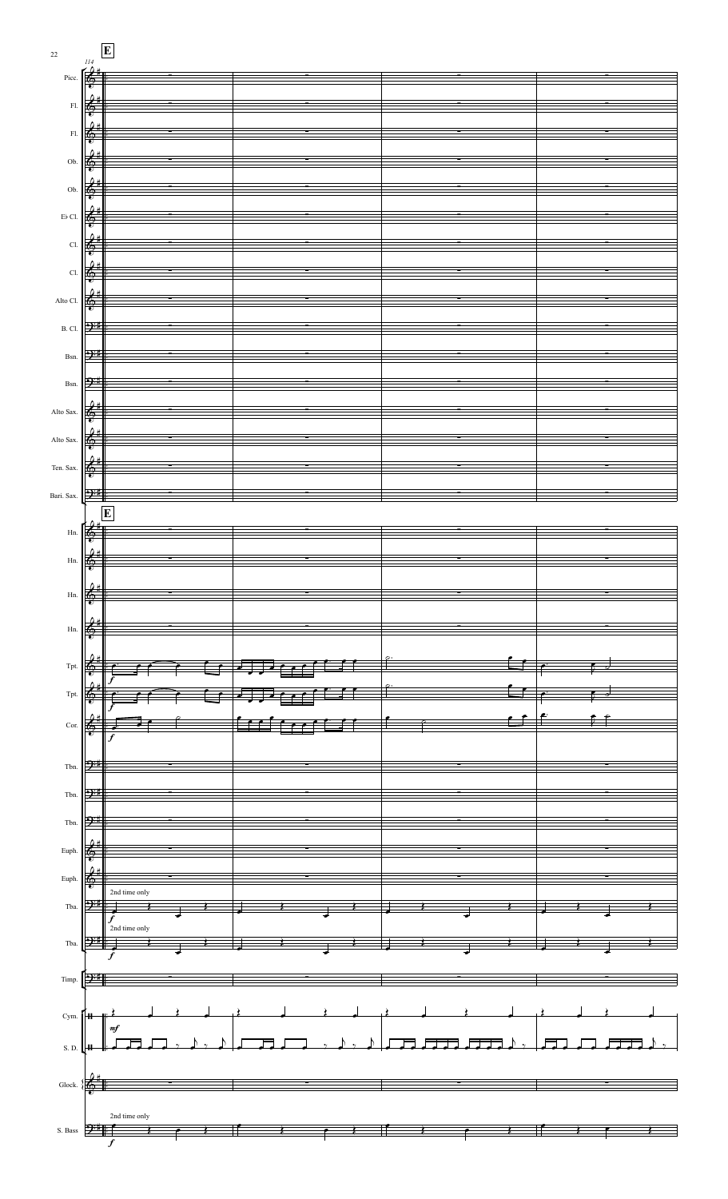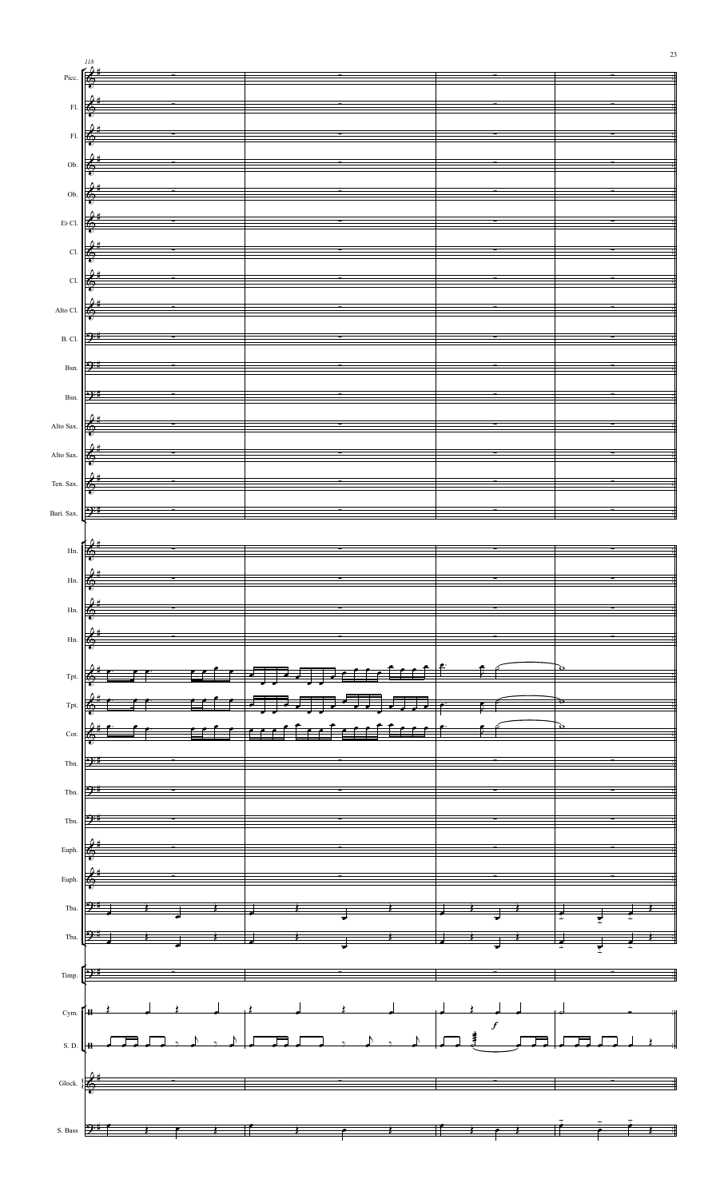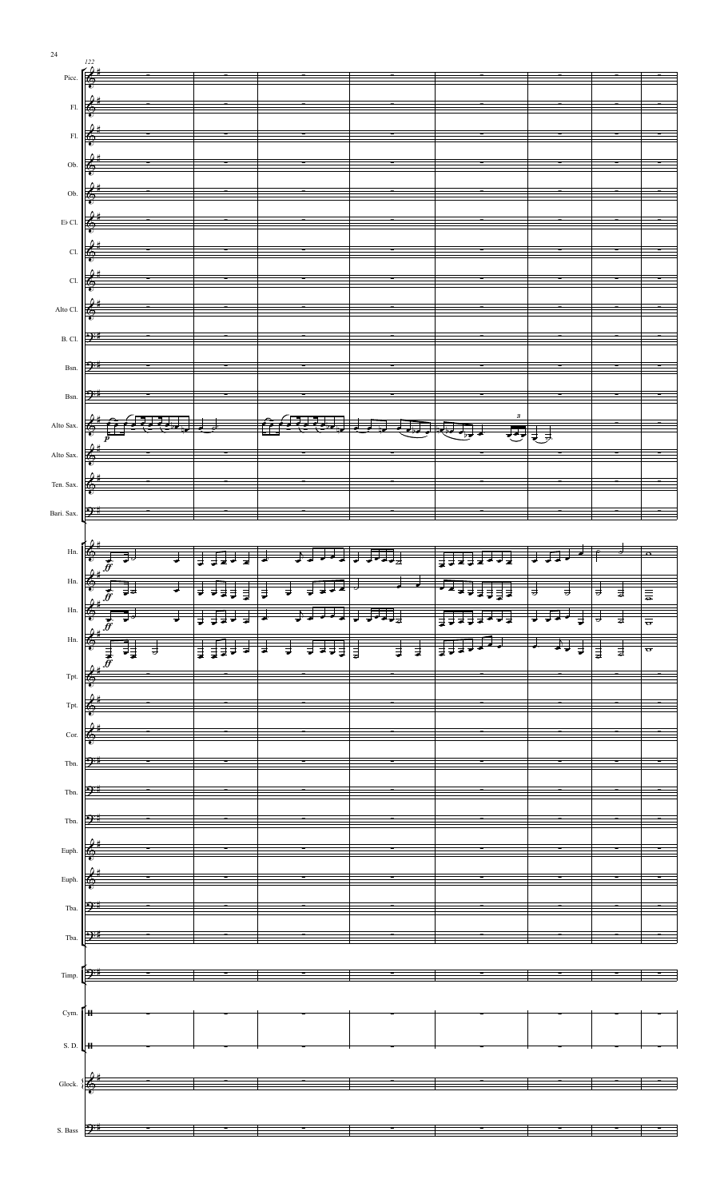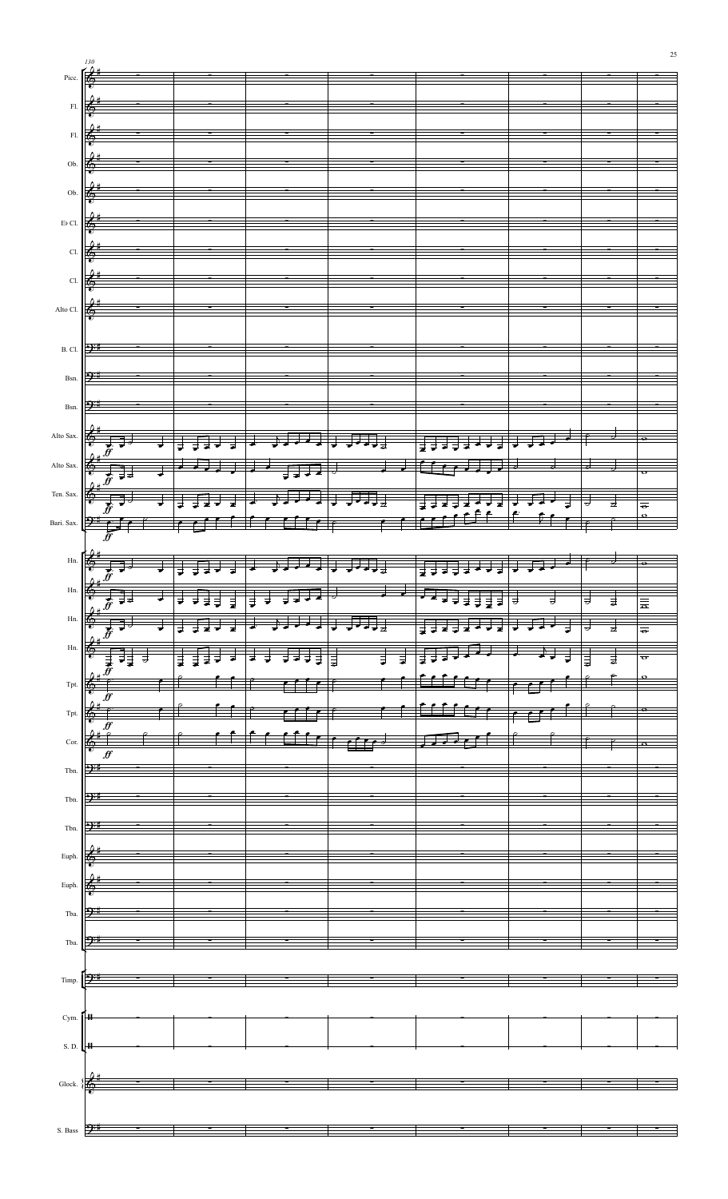|                    |                                                                                                                                                                                                                                                                                                                     |  |  |                                                                                                                                                                                                                                                                                                                                                                                                                                                                                                                                           |                      |                          | 25 |
|--------------------|---------------------------------------------------------------------------------------------------------------------------------------------------------------------------------------------------------------------------------------------------------------------------------------------------------------------|--|--|-------------------------------------------------------------------------------------------------------------------------------------------------------------------------------------------------------------------------------------------------------------------------------------------------------------------------------------------------------------------------------------------------------------------------------------------------------------------------------------------------------------------------------------------|----------------------|--------------------------|----|
|                    | Pice.                                                                                                                                                                                                                                                                                                               |  |  |                                                                                                                                                                                                                                                                                                                                                                                                                                                                                                                                           |                      |                          |    |
|                    |                                                                                                                                                                                                                                                                                                                     |  |  |                                                                                                                                                                                                                                                                                                                                                                                                                                                                                                                                           |                      |                          |    |
|                    | Fl. $6^{\circ}$                                                                                                                                                                                                                                                                                                     |  |  |                                                                                                                                                                                                                                                                                                                                                                                                                                                                                                                                           |                      |                          |    |
| Fl. $\mathbb{Z}^2$ |                                                                                                                                                                                                                                                                                                                     |  |  |                                                                                                                                                                                                                                                                                                                                                                                                                                                                                                                                           |                      |                          |    |
|                    |                                                                                                                                                                                                                                                                                                                     |  |  |                                                                                                                                                                                                                                                                                                                                                                                                                                                                                                                                           |                      |                          |    |
| Ob.                |                                                                                                                                                                                                                                                                                                                     |  |  |                                                                                                                                                                                                                                                                                                                                                                                                                                                                                                                                           |                      |                          |    |
|                    |                                                                                                                                                                                                                                                                                                                     |  |  |                                                                                                                                                                                                                                                                                                                                                                                                                                                                                                                                           |                      |                          |    |
|                    | Ob. $\sqrt{6}$                                                                                                                                                                                                                                                                                                      |  |  |                                                                                                                                                                                                                                                                                                                                                                                                                                                                                                                                           |                      |                          |    |
|                    | $E \triangleright$ Cl. $\overline{\bigoplus_{i=1}^{n}}$                                                                                                                                                                                                                                                             |  |  |                                                                                                                                                                                                                                                                                                                                                                                                                                                                                                                                           |                      |                          |    |
|                    |                                                                                                                                                                                                                                                                                                                     |  |  |                                                                                                                                                                                                                                                                                                                                                                                                                                                                                                                                           |                      |                          |    |
|                    | Cl. $\frac{1}{6}$                                                                                                                                                                                                                                                                                                   |  |  |                                                                                                                                                                                                                                                                                                                                                                                                                                                                                                                                           |                      |                          |    |
|                    |                                                                                                                                                                                                                                                                                                                     |  |  |                                                                                                                                                                                                                                                                                                                                                                                                                                                                                                                                           |                      |                          |    |
| Cl.                | $\frac{1}{6}$ $\frac{1}{6}$ $\frac{1}{6}$ $\frac{1}{6}$ $\frac{1}{6}$ $\frac{1}{6}$ $\frac{1}{6}$ $\frac{1}{6}$ $\frac{1}{6}$ $\frac{1}{6}$ $\frac{1}{6}$ $\frac{1}{6}$ $\frac{1}{6}$ $\frac{1}{6}$ $\frac{1}{6}$ $\frac{1}{6}$ $\frac{1}{6}$ $\frac{1}{6}$ $\frac{1}{6}$ $\frac{1}{6}$ $\frac{1}{6}$ $\frac{1}{6}$ |  |  |                                                                                                                                                                                                                                                                                                                                                                                                                                                                                                                                           |                      |                          |    |
|                    | Alto Cl. $\left  \begin{array}{ccc} \overline{a} & - & - \\ \overline{b} & - & - \end{array} \right $                                                                                                                                                                                                               |  |  |                                                                                                                                                                                                                                                                                                                                                                                                                                                                                                                                           |                      |                          |    |
|                    |                                                                                                                                                                                                                                                                                                                     |  |  |                                                                                                                                                                                                                                                                                                                                                                                                                                                                                                                                           |                      |                          |    |
|                    |                                                                                                                                                                                                                                                                                                                     |  |  |                                                                                                                                                                                                                                                                                                                                                                                                                                                                                                                                           |                      |                          |    |
|                    | B. Cl. $\mathbf{D}^{\pm}$                                                                                                                                                                                                                                                                                           |  |  |                                                                                                                                                                                                                                                                                                                                                                                                                                                                                                                                           |                      |                          |    |
| Bsn.               |                                                                                                                                                                                                                                                                                                                     |  |  |                                                                                                                                                                                                                                                                                                                                                                                                                                                                                                                                           |                      |                          |    |
|                    |                                                                                                                                                                                                                                                                                                                     |  |  |                                                                                                                                                                                                                                                                                                                                                                                                                                                                                                                                           |                      |                          |    |
| Bsn.               |                                                                                                                                                                                                                                                                                                                     |  |  |                                                                                                                                                                                                                                                                                                                                                                                                                                                                                                                                           |                      |                          |    |
|                    |                                                                                                                                                                                                                                                                                                                     |  |  |                                                                                                                                                                                                                                                                                                                                                                                                                                                                                                                                           |                      |                          |    |
|                    | Alto Sax.                                                                                                                                                                                                                                                                                                           |  |  | $\frac{1}{2}$ $\frac{1}{2}$ $\frac{1}{2}$ $\frac{1}{2}$ $\frac{1}{2}$ $\frac{1}{2}$ $\frac{1}{2}$ $\frac{1}{2}$ $\frac{1}{2}$ $\frac{1}{2}$ $\frac{1}{2}$ $\frac{1}{2}$ $\frac{1}{2}$ $\frac{1}{2}$ $\frac{1}{2}$ $\frac{1}{2}$ $\frac{1}{2}$ $\frac{1}{2}$ $\frac{1}{2}$ $\frac{1}{2}$ $\frac{1}{2}$ $\frac{1}{2}$                                                                                                                                                                                                                       |                      |                          |    |
|                    |                                                                                                                                                                                                                                                                                                                     |  |  |                                                                                                                                                                                                                                                                                                                                                                                                                                                                                                                                           |                      |                          |    |
|                    |                                                                                                                                                                                                                                                                                                                     |  |  | Alto Sax. $\left \begin{array}{ccc} \frac{1}{2} & \frac{1}{2} & \frac{1}{2} \\ \frac{1}{2} & \frac{1}{2} & \frac{1}{2} \end{array}\right $                                                                                                                                                                                                                                                                                                                                                                                                | $\overrightarrow{a}$ |                          |    |
|                    |                                                                                                                                                                                                                                                                                                                     |  |  | Ten. Sax. $\left\  \begin{array}{ccc} \frac{\partial^2 u}{\partial x^2} & \frac{\partial^2 u}{\partial y^2} & \frac{\partial^2 u}{\partial z^2} & \frac{\partial^2 u}{\partial z^2} & \frac{\partial^2 u}{\partial z^2} & \frac{\partial^2 u}{\partial z^2} & \frac{\partial^2 u}{\partial z^2} & \frac{\partial^2 u}{\partial z^2} & \frac{\partial^2 u}{\partial z^2} & \frac{\partial^2 u}{\partial z^2} & \frac{\partial^2 u}{\partial z^2} & \frac{\partial^2 u}{\partial z^2} & \frac{\partial^2 u}{\partial z^2} & \frac{\partial$ |                      |                          |    |
|                    |                                                                                                                                                                                                                                                                                                                     |  |  |                                                                                                                                                                                                                                                                                                                                                                                                                                                                                                                                           |                      |                          |    |
|                    |                                                                                                                                                                                                                                                                                                                     |  |  | Bari, Sax, $\frac{\sum_{i=1}^{n} x_i}{\sum_{i=1}^{n} x_i}$ for the contract of $\frac{1}{n}$ for $\frac{1}{n}$ for $\frac{1}{n}$ for $\frac{1}{n}$ for $\frac{1}{n}$ for $\frac{1}{n}$ for $\frac{1}{n}$ for $\frac{1}{n}$ for $\frac{1}{n}$ for $\frac{1}{n}$ for $\frac{1}{n}$ for $\frac{1$                                                                                                                                                                                                                                            |                      |                          |    |
|                    |                                                                                                                                                                                                                                                                                                                     |  |  |                                                                                                                                                                                                                                                                                                                                                                                                                                                                                                                                           |                      |                          |    |
|                    |                                                                                                                                                                                                                                                                                                                     |  |  | $\begin{array}{c} \text{Im} \left[ \begin{array}{ccc} \frac{2}{\sqrt{3}} & \frac{1}{\sqrt{3}} & \frac{1}{\sqrt{3}} & \frac{1}{\sqrt{3}} & \frac{1}{\sqrt{3}} & \frac{1}{\sqrt{3}} & \frac{1}{\sqrt{3}} & \frac{1}{\sqrt{3}} & \frac{1}{\sqrt{3}} & \frac{1}{\sqrt{3}} & \frac{1}{\sqrt{3}} & \frac{1}{\sqrt{3}} & \frac{1}{\sqrt{3}} & \frac{1}{\sqrt{3}} & \frac{1}{\sqrt{3}} & \frac{1}{\sqrt{3}} & \frac{1}{\sqrt{3}} & \frac{1}{\sqrt{3}} &$                                                                                          |                      |                          |    |
|                    |                                                                                                                                                                                                                                                                                                                     |  |  |                                                                                                                                                                                                                                                                                                                                                                                                                                                                                                                                           |                      |                          |    |
|                    |                                                                                                                                                                                                                                                                                                                     |  |  | $\frac{1}{2}$ $\frac{1}{2}$ $\frac{1}{2}$ $\frac{1}{2}$ $\frac{1}{2}$ $\frac{1}{2}$ $\frac{1}{2}$ $\frac{1}{2}$ $\frac{1}{2}$ $\frac{1}{2}$ $\frac{1}{2}$ $\frac{1}{2}$ $\frac{1}{2}$ $\frac{1}{2}$ $\frac{1}{2}$ $\frac{1}{2}$ $\frac{1}{2}$ $\frac{1}{2}$ $\frac{1}{2}$ $\frac{1}{2}$ $\frac{1}{2}$ $\frac{1}{2}$                                                                                                                                                                                                                       |                      |                          |    |
| $_{\rm Hn.}$       |                                                                                                                                                                                                                                                                                                                     |  |  |                                                                                                                                                                                                                                                                                                                                                                                                                                                                                                                                           |                      |                          |    |
|                    |                                                                                                                                                                                                                                                                                                                     |  |  |                                                                                                                                                                                                                                                                                                                                                                                                                                                                                                                                           |                      | $\overline{\phantom{a}}$ |    |
|                    |                                                                                                                                                                                                                                                                                                                     |  |  |                                                                                                                                                                                                                                                                                                                                                                                                                                                                                                                                           |                      |                          |    |
|                    |                                                                                                                                                                                                                                                                                                                     |  |  |                                                                                                                                                                                                                                                                                                                                                                                                                                                                                                                                           |                      |                          |    |
|                    |                                                                                                                                                                                                                                                                                                                     |  |  |                                                                                                                                                                                                                                                                                                                                                                                                                                                                                                                                           |                      |                          |    |
|                    |                                                                                                                                                                                                                                                                                                                     |  |  |                                                                                                                                                                                                                                                                                                                                                                                                                                                                                                                                           |                      |                          |    |
|                    | Tpt. $\left \bigotimes_{\infty}^{\frac{1}{n}}\right $                                                                                                                                                                                                                                                               |  |  | <u>r fra frager er filitir er ff</u>                                                                                                                                                                                                                                                                                                                                                                                                                                                                                                      |                      |                          |    |
|                    |                                                                                                                                                                                                                                                                                                                     |  |  | <u>for the time are street for the street of the street of the street of the street of the street of the street of the street of the street of the street of the street of the street of the street of the street of the street </u>                                                                                                                                                                                                                                                                                                      |                      |                          |    |
|                    |                                                                                                                                                                                                                                                                                                                     |  |  |                                                                                                                                                                                                                                                                                                                                                                                                                                                                                                                                           |                      |                          |    |
| Tbn.               | $\cos \left( \frac{\theta + \theta}{\theta} \right)$<br>$\mathbb{P}^+$                                                                                                                                                                                                                                              |  |  |                                                                                                                                                                                                                                                                                                                                                                                                                                                                                                                                           |                      |                          |    |
|                    |                                                                                                                                                                                                                                                                                                                     |  |  |                                                                                                                                                                                                                                                                                                                                                                                                                                                                                                                                           |                      |                          |    |
| Tbn.               |                                                                                                                                                                                                                                                                                                                     |  |  |                                                                                                                                                                                                                                                                                                                                                                                                                                                                                                                                           |                      |                          |    |
| Tbn.               |                                                                                                                                                                                                                                                                                                                     |  |  |                                                                                                                                                                                                                                                                                                                                                                                                                                                                                                                                           |                      |                          |    |
|                    |                                                                                                                                                                                                                                                                                                                     |  |  |                                                                                                                                                                                                                                                                                                                                                                                                                                                                                                                                           |                      |                          |    |
|                    | Euph. $\left \begin{array}{ccc} \stackrel{\#}{\bullet} & - \end{array}\right $                                                                                                                                                                                                                                      |  |  |                                                                                                                                                                                                                                                                                                                                                                                                                                                                                                                                           |                      |                          |    |
|                    |                                                                                                                                                                                                                                                                                                                     |  |  |                                                                                                                                                                                                                                                                                                                                                                                                                                                                                                                                           |                      |                          |    |
|                    | Euph. $\left  \bigoplus_{n=1}^{\infty} \right $                                                                                                                                                                                                                                                                     |  |  |                                                                                                                                                                                                                                                                                                                                                                                                                                                                                                                                           |                      |                          |    |
|                    |                                                                                                                                                                                                                                                                                                                     |  |  |                                                                                                                                                                                                                                                                                                                                                                                                                                                                                                                                           |                      |                          |    |
| Tba.               |                                                                                                                                                                                                                                                                                                                     |  |  |                                                                                                                                                                                                                                                                                                                                                                                                                                                                                                                                           |                      |                          |    |
| Tba.               |                                                                                                                                                                                                                                                                                                                     |  |  |                                                                                                                                                                                                                                                                                                                                                                                                                                                                                                                                           |                      |                          |    |
|                    |                                                                                                                                                                                                                                                                                                                     |  |  |                                                                                                                                                                                                                                                                                                                                                                                                                                                                                                                                           |                      |                          |    |
| Timp.              |                                                                                                                                                                                                                                                                                                                     |  |  |                                                                                                                                                                                                                                                                                                                                                                                                                                                                                                                                           |                      |                          |    |
|                    |                                                                                                                                                                                                                                                                                                                     |  |  |                                                                                                                                                                                                                                                                                                                                                                                                                                                                                                                                           |                      |                          |    |
|                    |                                                                                                                                                                                                                                                                                                                     |  |  |                                                                                                                                                                                                                                                                                                                                                                                                                                                                                                                                           |                      |                          |    |
| Cym.               |                                                                                                                                                                                                                                                                                                                     |  |  |                                                                                                                                                                                                                                                                                                                                                                                                                                                                                                                                           |                      |                          |    |
| S.D.               |                                                                                                                                                                                                                                                                                                                     |  |  |                                                                                                                                                                                                                                                                                                                                                                                                                                                                                                                                           |                      |                          |    |
|                    |                                                                                                                                                                                                                                                                                                                     |  |  |                                                                                                                                                                                                                                                                                                                                                                                                                                                                                                                                           |                      |                          |    |
|                    |                                                                                                                                                                                                                                                                                                                     |  |  |                                                                                                                                                                                                                                                                                                                                                                                                                                                                                                                                           |                      |                          |    |
|                    | Glock. $\sqrt{\frac{1}{2}}$                                                                                                                                                                                                                                                                                         |  |  |                                                                                                                                                                                                                                                                                                                                                                                                                                                                                                                                           |                      |                          |    |
|                    |                                                                                                                                                                                                                                                                                                                     |  |  |                                                                                                                                                                                                                                                                                                                                                                                                                                                                                                                                           |                      |                          |    |
|                    | S. Bass $9$ .                                                                                                                                                                                                                                                                                                       |  |  |                                                                                                                                                                                                                                                                                                                                                                                                                                                                                                                                           |                      |                          |    |
|                    |                                                                                                                                                                                                                                                                                                                     |  |  |                                                                                                                                                                                                                                                                                                                                                                                                                                                                                                                                           |                      |                          |    |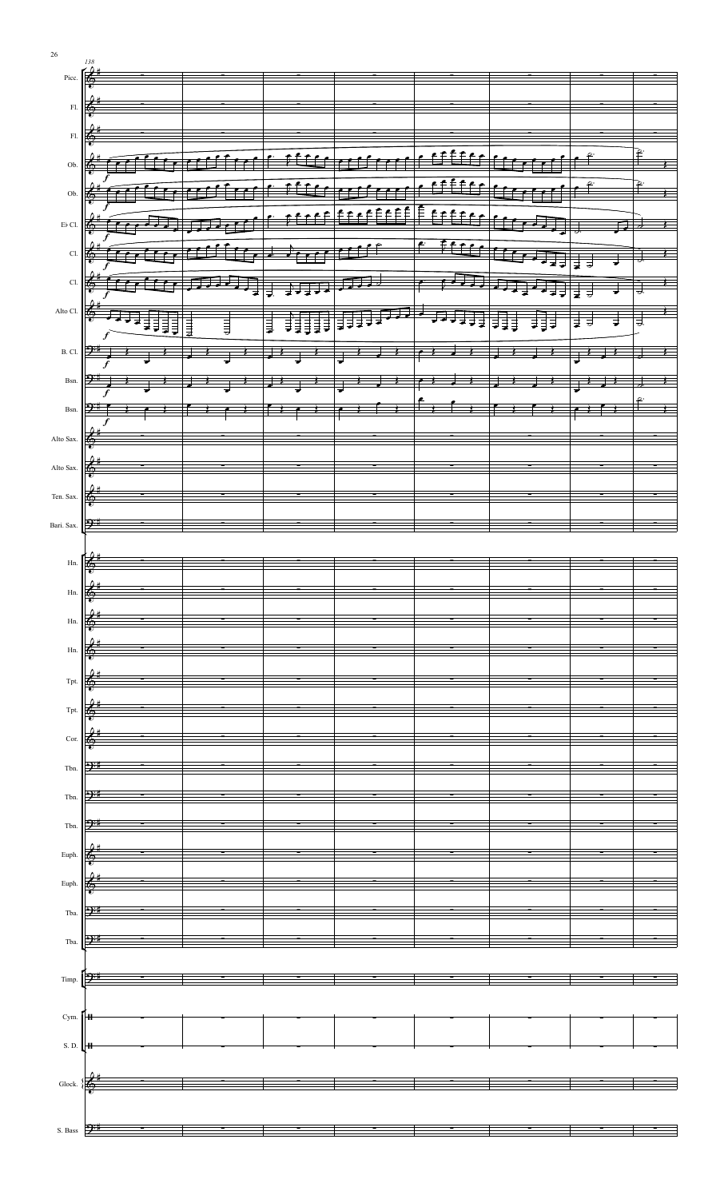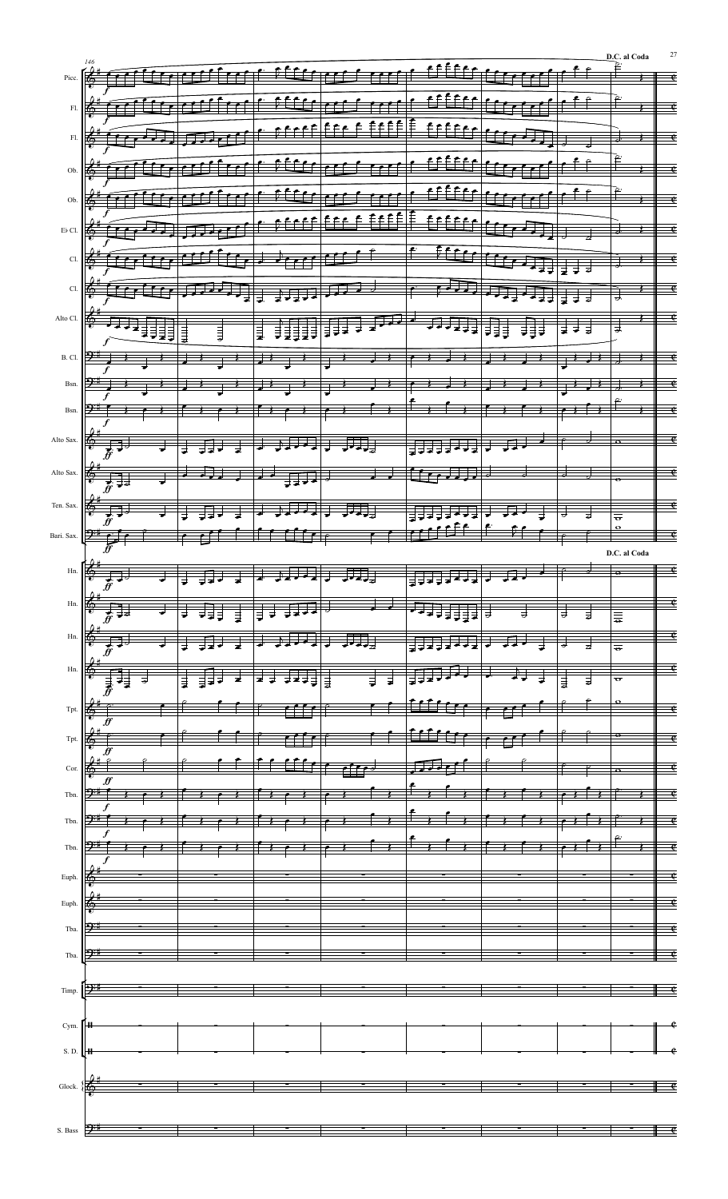|                                     | 140                                                                                                                  |               |                                               |                                                               |                  |                      |                                | D.C. al Coda                                                                                        | 27 |
|-------------------------------------|----------------------------------------------------------------------------------------------------------------------|---------------|-----------------------------------------------|---------------------------------------------------------------|------------------|----------------------|--------------------------------|-----------------------------------------------------------------------------------------------------|----|
| Picc.                               |                                                                                                                      |               |                                               |                                                               |                  |                      |                                |                                                                                                     |    |
|                                     |                                                                                                                      |               |                                               |                                                               |                  |                      |                                |                                                                                                     | €  |
| Fl.                                 |                                                                                                                      |               |                                               | ₤₤<br>E.E                                                     | Ē                |                      |                                |                                                                                                     |    |
| Fl.                                 |                                                                                                                      |               |                                               |                                                               |                  |                      |                                |                                                                                                     | €  |
| Ob.                                 |                                                                                                                      |               |                                               |                                                               |                  |                      |                                |                                                                                                     | €  |
|                                     |                                                                                                                      |               |                                               |                                                               |                  |                      |                                |                                                                                                     | €  |
| Ob.                                 |                                                                                                                      |               |                                               | ₿                                                             | Ē                |                      |                                |                                                                                                     |    |
| $\operatorname{Eb}$ Cl.             |                                                                                                                      |               |                                               |                                                               |                  |                      |                                |                                                                                                     | €  |
| Cl.                                 |                                                                                                                      |               |                                               |                                                               | Ff               | ≢≢                   | ⋣<br>₹                         |                                                                                                     |    |
| Cl.                                 |                                                                                                                      |               |                                               |                                                               |                  |                      | र्च                            |                                                                                                     |    |
|                                     |                                                                                                                      |               | ਵੇ•ੋਂ ਭਾ                                      |                                                               |                  | 封                    | र्च<br>₹<br>₹                  | 귱.                                                                                                  |    |
| Alto Cl.                            | ₩<br>基調                                                                                                              | $\frac{1}{2}$ | डेंडुडुडुड़ी<br>$\equiv$                      | $\overline{J}$<br>₹.<br>‡≢≢                                   | ₹                | ₹<br>萁               | ई रे ई                         | र्च.                                                                                                | €  |
| B.Cl.                               |                                                                                                                      |               |                                               |                                                               |                  |                      |                                |                                                                                                     | €  |
|                                     |                                                                                                                      |               |                                               |                                                               |                  |                      |                                |                                                                                                     |    |
| Bsn.                                |                                                                                                                      |               |                                               |                                                               |                  |                      |                                |                                                                                                     |    |
| Bsn.                                |                                                                                                                      |               |                                               |                                                               |                  |                      |                                |                                                                                                     | €  |
| Alto Sax.                           |                                                                                                                      |               |                                               |                                                               | इउर              |                      |                                |                                                                                                     | €  |
| Alto Sax.                           |                                                                                                                      |               |                                               |                                                               |                  |                      |                                |                                                                                                     | €  |
|                                     | ⊕<br>न<br>ff                                                                                                         |               |                                               |                                                               |                  |                      |                                |                                                                                                     |    |
| Ten. Sax.                           | ⊕                                                                                                                    |               |                                               | ₹                                                             | <del>नुबन्</del> |                      | न्न                            | $\overline{\mathbf{v}}$                                                                             | €  |
| Bari. Sax.                          |                                                                                                                      |               |                                               |                                                               |                  |                      |                                |                                                                                                     | €  |
|                                     |                                                                                                                      |               |                                               |                                                               |                  |                      |                                | D.C. al Coda                                                                                        |    |
| Hn.                                 | ₩<br>$\vec{r}$<br>IJ                                                                                                 | ₹             |                                               | ग्र                                                           | ⋣⋣⋣⋣⋣            |                      |                                |                                                                                                     | €  |
| $Hn$ .                              | $\overline{\cdot}$                                                                                                   | $\frac{1}{2}$ | $\frac{1}{2}$ , $\frac{1}{2}$ , $\frac{1}{2}$ | $\overline{\phantom{a}}$                                      | $7 - 111$        | ₹                    | ₹<br>$\overline{\overline{a}}$ |                                                                                                     | €  |
| $\rm{Hn.}$                          |                                                                                                                      |               |                                               |                                                               |                  |                      |                                |                                                                                                     | €  |
|                                     | €<br>$\overrightarrow{f}$                                                                                            | ╤╤╤╤          |                                               | $\overline{y}$                                                |                  | ₹                    | ₹<br>र्च                       | $\overline{\overline{\sigma}}$                                                                      |    |
|                                     | $\frac{Hn}{\sqrt{2}}$<br>$\begin{array}{c}\n\downarrow \\ \downarrow \\ \downarrow \\ \downarrow\n\end{array}$<br>ਰੋ | ▛▛▛<br>₹      |                                               | $\frac{1}{2}$ , $\frac{1}{2}$ , $\frac{1}{2}$ , $\frac{1}{2}$ | $\frac{1}{2}$    | ↴<br>₹               | ₹<br>$\overline{\mathbb{F}}$   | $\overline{\sigma}$                                                                                 | €  |
| Tpt.                                |                                                                                                                      |               | $\epsilon$ for $\epsilon$                     |                                                               | <u>i filifor</u> | 子                    |                                |                                                                                                     |    |
|                                     | ff                                                                                                                   |               |                                               |                                                               |                  |                      |                                |                                                                                                     | €  |
|                                     | Tpt.                                                                                                                 |               |                                               |                                                               | <u>i di firm</u> | $\sim$ $\sim$ $\sim$ |                                |                                                                                                     | €  |
|                                     | $\frac{1}{\sqrt{2}}$<br>$\frac{1}{f}$                                                                                |               |                                               | لموثق                                                         | $\sqrt{2}$       |                      |                                |                                                                                                     | €  |
| Tbn.                                | 9≝                                                                                                                   |               |                                               |                                                               |                  |                      |                                |                                                                                                     | €  |
| Tbn.                                |                                                                                                                      |               | ?                                             |                                                               |                  |                      |                                |                                                                                                     | €  |
|                                     |                                                                                                                      |               | $\overline{\cdot}$                            |                                                               |                  |                      |                                |                                                                                                     | €  |
| Tbn.                                |                                                                                                                      |               |                                               |                                                               |                  |                      |                                |                                                                                                     |    |
| Euph.                               |                                                                                                                      |               |                                               |                                                               |                  |                      |                                |                                                                                                     | ¢  |
| Euph.                               |                                                                                                                      |               |                                               |                                                               |                  |                      |                                |                                                                                                     |    |
| Tba.                                |                                                                                                                      |               |                                               |                                                               |                  |                      |                                |                                                                                                     |    |
| Tba.                                |                                                                                                                      |               |                                               |                                                               |                  |                      |                                |                                                                                                     |    |
|                                     |                                                                                                                      |               |                                               |                                                               |                  |                      |                                |                                                                                                     |    |
| Timp.                               |                                                                                                                      |               |                                               |                                                               |                  |                      |                                |                                                                                                     | €  |
| Cym.                                | H                                                                                                                    |               |                                               |                                                               |                  |                      |                                |                                                                                                     |    |
| S.D.                                |                                                                                                                      |               |                                               |                                                               |                  |                      |                                |                                                                                                     |    |
|                                     |                                                                                                                      |               |                                               |                                                               |                  |                      |                                |                                                                                                     |    |
| Glock. $\left\{\frac{1}{6}\right\}$ |                                                                                                                      |               |                                               |                                                               |                  |                      |                                |                                                                                                     | €  |
|                                     |                                                                                                                      |               |                                               |                                                               |                  |                      |                                |                                                                                                     |    |
|                                     | $S. Bass$ $94$ $-$                                                                                                   |               |                                               |                                                               |                  |                      | ٠.                             | $\overline{\phantom{a}}$ $\overline{\phantom{a}}$ $\overline{\phantom{a}}$ $\overline{\phantom{a}}$ |    |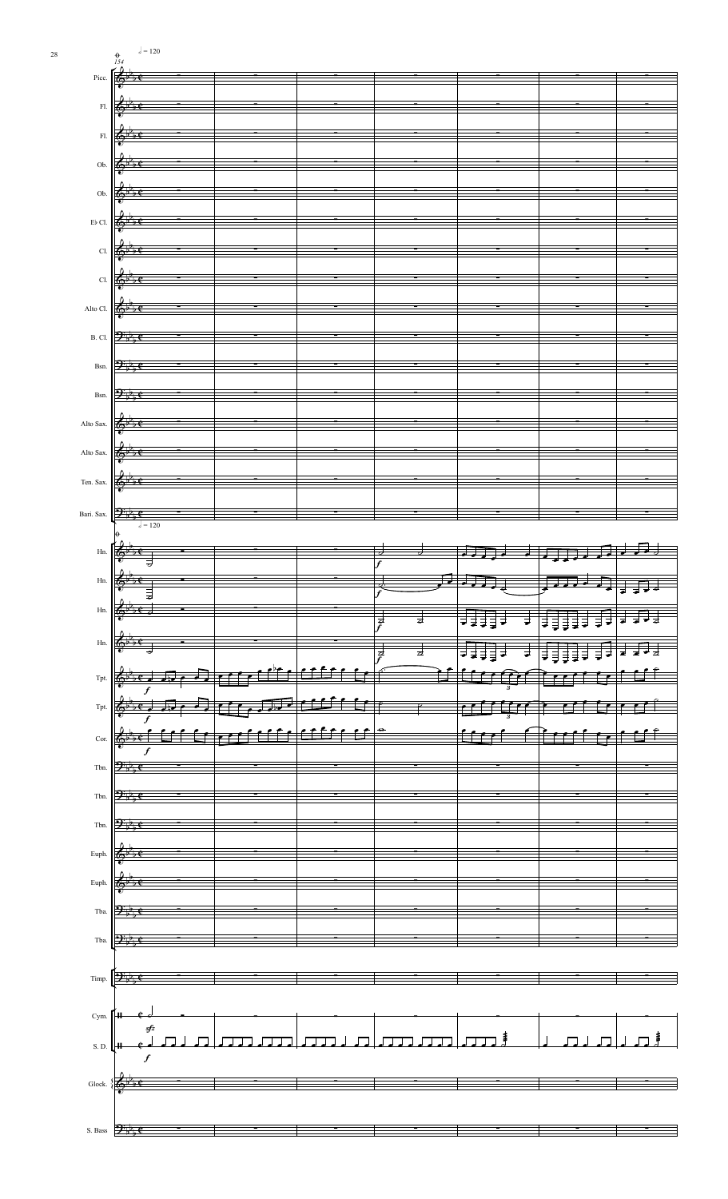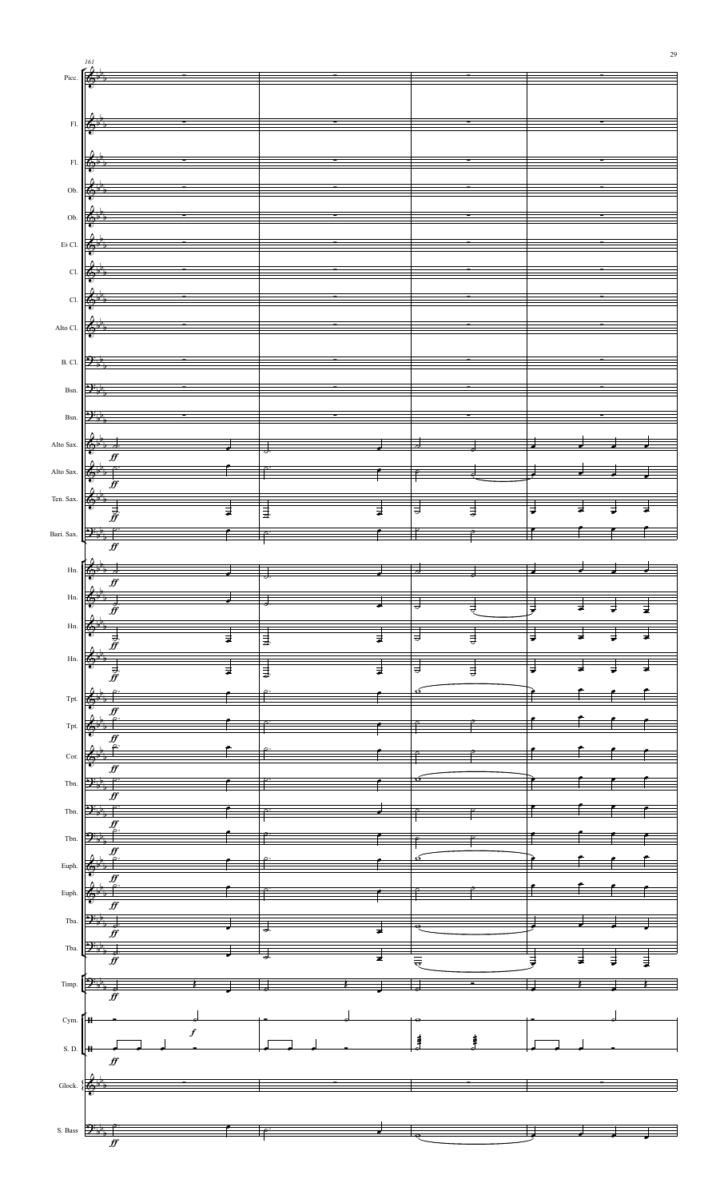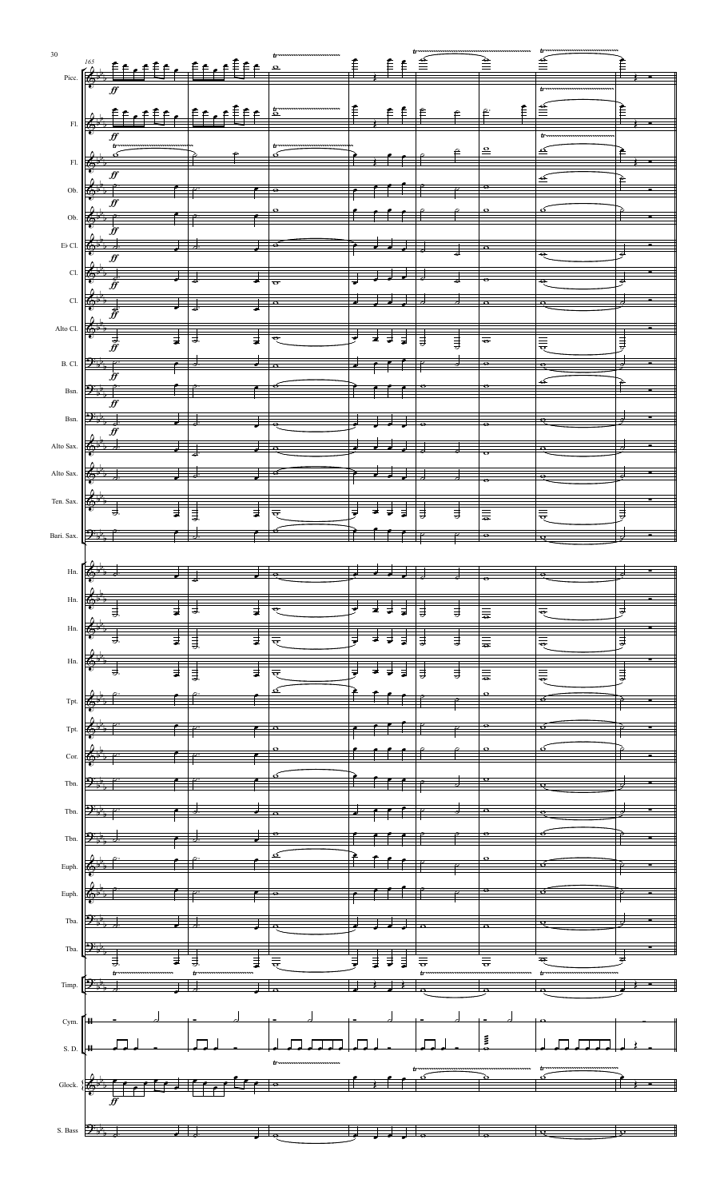